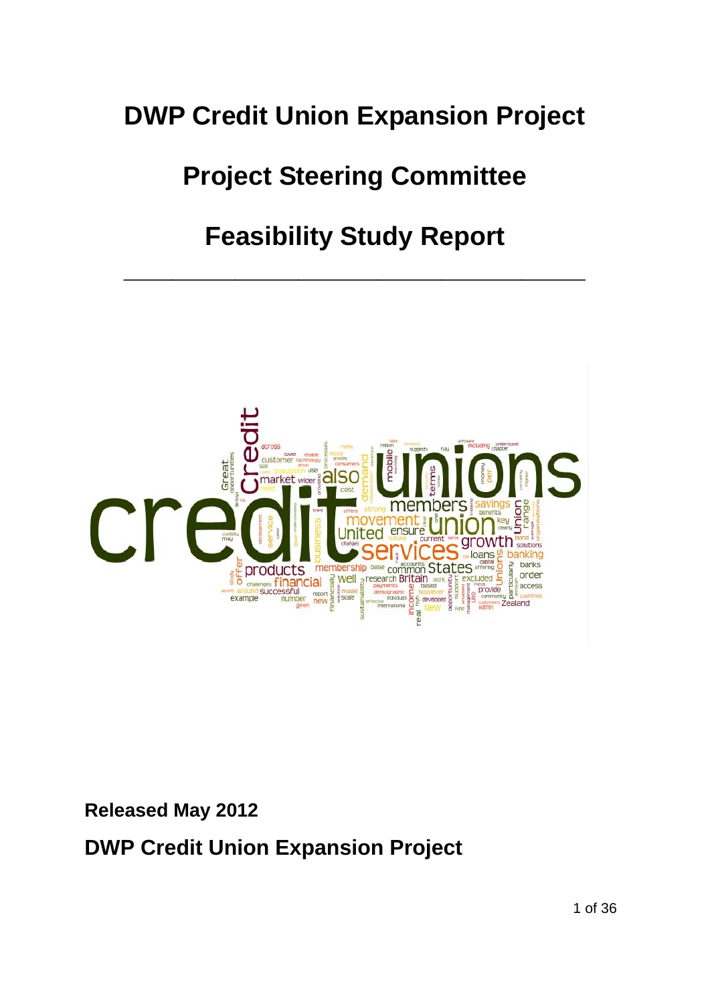# **DWP Credit Union Expansion Project**

# **Project Steering Committee**

# **Feasibility Study Report**

**\_\_\_\_\_\_\_\_\_\_\_\_\_\_\_\_\_\_\_\_\_\_\_\_\_\_\_\_\_**



**Released May 2012** 

**DWP Credit Union Expansion Project**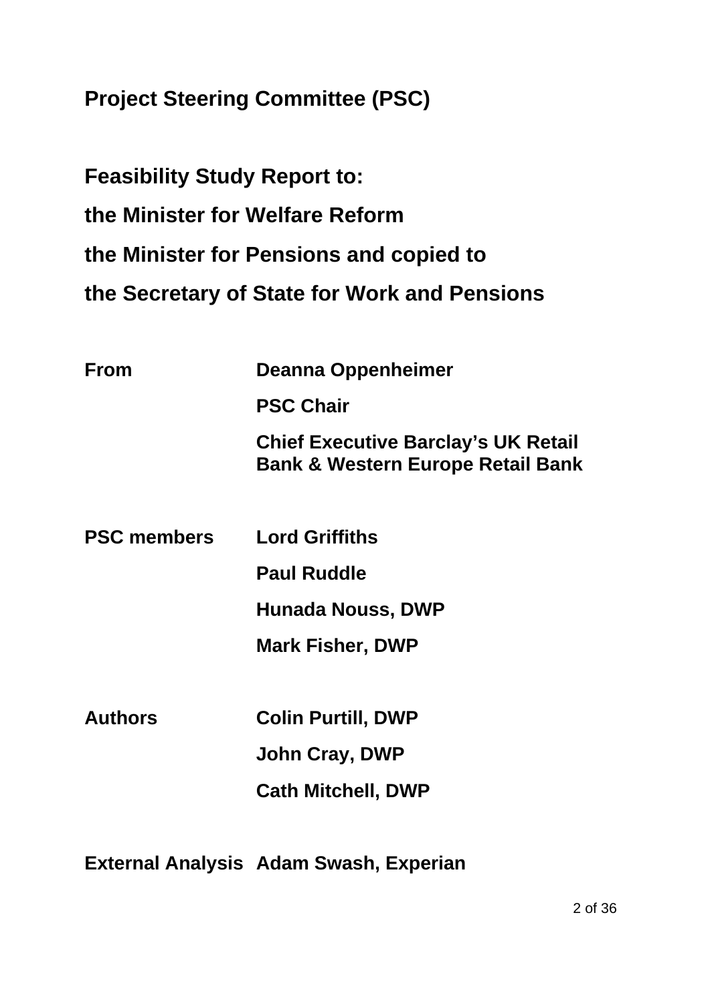**Project Steering Committee (PSC)** 

**Feasibility Study Report to: the Minister for Welfare Reform the Minister for Pensions and copied to the Secretary of State for Work and Pensions** 

| <b>From</b>        | <b>Deanna Oppenheimer</b>                                                                  |
|--------------------|--------------------------------------------------------------------------------------------|
|                    | <b>PSC Chair</b>                                                                           |
|                    | <b>Chief Executive Barclay's UK Retail</b><br><b>Bank &amp; Western Europe Retail Bank</b> |
| <b>PSC members</b> | <b>Lord Griffiths</b>                                                                      |
|                    | <b>Paul Ruddle</b>                                                                         |
|                    | <b>Hunada Nouss, DWP</b>                                                                   |
|                    | <b>Mark Fisher, DWP</b>                                                                    |
| <b>Authors</b>     | <b>Colin Purtill, DWP</b>                                                                  |
|                    | John Cray, DWP                                                                             |

 **Cath Mitchell, DWP** 

**External Analysis Adam Swash, Experian**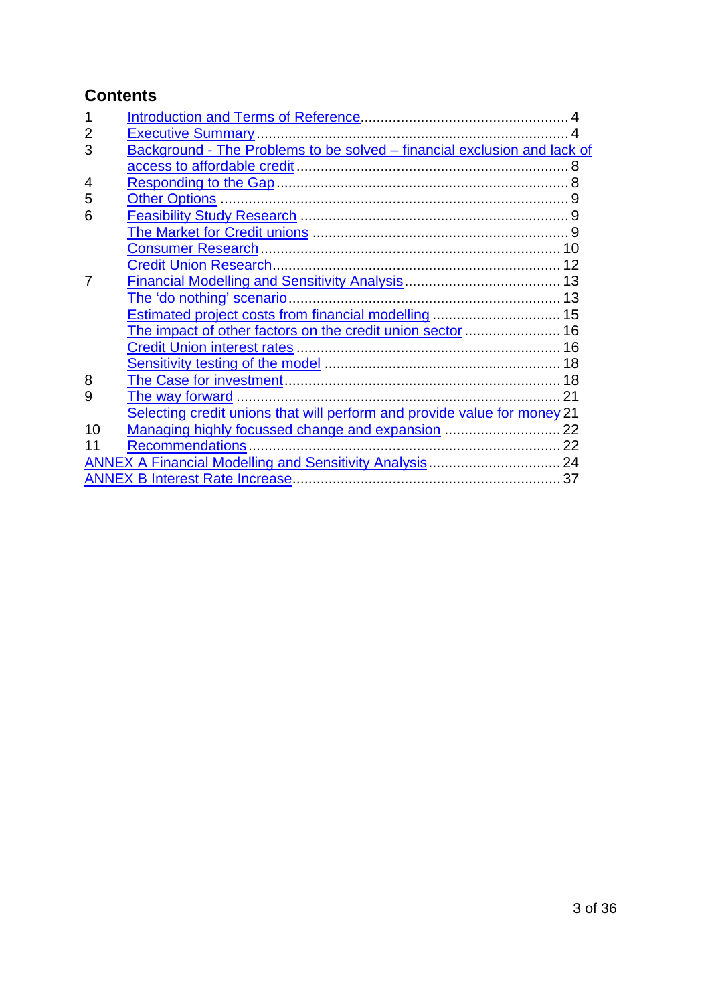# <span id="page-2-0"></span>**Contents**

| 2  |                                                                          |  |
|----|--------------------------------------------------------------------------|--|
| 3  | Background - The Problems to be solved - financial exclusion and lack of |  |
|    |                                                                          |  |
| 4  |                                                                          |  |
| 5  |                                                                          |  |
| 6  |                                                                          |  |
|    |                                                                          |  |
|    |                                                                          |  |
|    |                                                                          |  |
|    |                                                                          |  |
|    |                                                                          |  |
|    | Estimated project costs from financial modelling  15                     |  |
|    | The impact of other factors on the credit union sector  16               |  |
|    |                                                                          |  |
|    |                                                                          |  |
| 8  |                                                                          |  |
| 9  |                                                                          |  |
|    | Selecting credit unions that will perform and provide value for money 21 |  |
| 10 |                                                                          |  |
| 11 |                                                                          |  |
|    | <b>ANNEX A Financial Modelling and Sensitivity Analysis 24</b>           |  |
|    |                                                                          |  |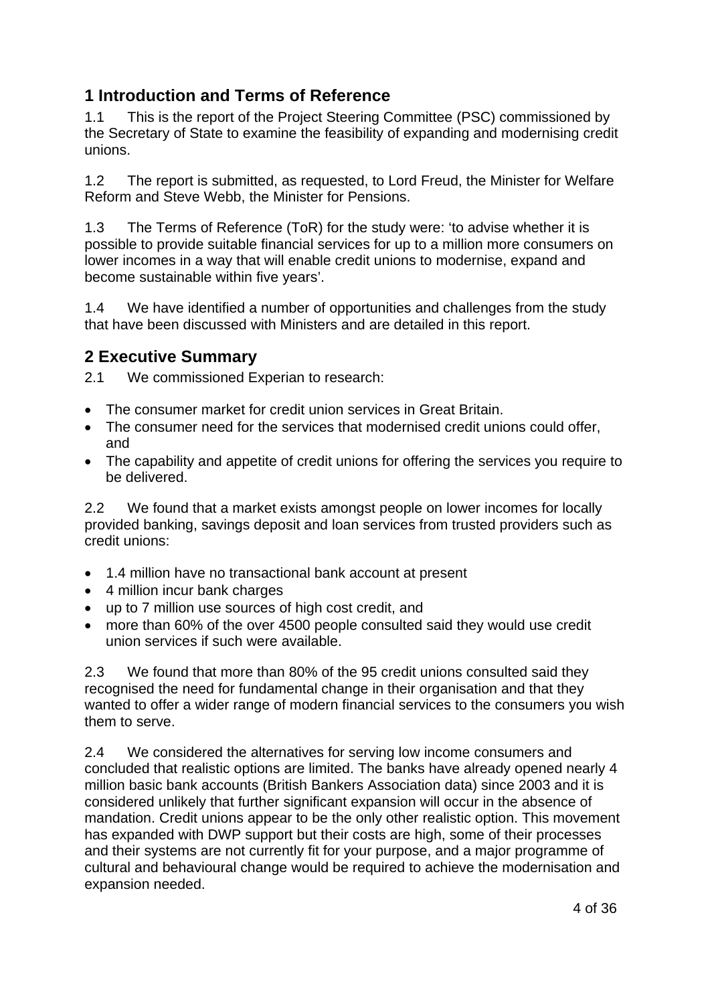# <span id="page-3-0"></span>**1 Introduction and Terms of Reference**

1.1 This is the report of the Project Steering Committee (PSC) commissioned by the Secretary of State to examine the feasibility of expanding and modernising credit unions.

1.2 The report is submitted, as requested, to Lord Freud, the Minister for Welfare Reform and Steve Webb, the Minister for Pensions.

1.3 The Terms of Reference (ToR) for the study were: 'to advise whether it is possible to provide suitable financial services for up to a million more consumers on lower incomes in a way that will enable credit unions to modernise, expand and become sustainable within five years'.

1.4 We have identified a number of opportunities and challenges from the study that have been discussed with Ministers and are detailed in this report.

# **2 Executive Summary**

2.1 We commissioned Experian to research:

- The consumer market for credit union services in Great Britain.
- The consumer need for the services that modernised credit unions could offer, and
- The capability and appetite of credit unions for offering the services you require to be delivered.

2.2 We found that a market exists amongst people on lower incomes for locally provided banking, savings deposit and loan services from trusted providers such as credit unions:

- 1.4 million have no transactional bank account at present
- 4 million incur bank charges
- up to 7 million use sources of high cost credit, and
- more than 60% of the over 4500 people consulted said they would use credit union services if such were available.

2.3 We found that more than 80% of the 95 credit unions consulted said they recognised the need for fundamental change in their organisation and that they wanted to offer a wider range of modern financial services to the consumers you wish them to serve.

2.4 We considered the alternatives for serving low income consumers and concluded that realistic options are limited. The banks have already opened nearly 4 million basic bank accounts (British Bankers Association data) since 2003 and it is considered unlikely that further significant expansion will occur in the absence of mandation. Credit unions appear to be the only other realistic option. This movement has expanded with DWP support but their costs are high, some of their processes and their systems are not currently fit for your purpose, and a major programme of cultural and behavioural change would be required to achieve the modernisation and expansion needed.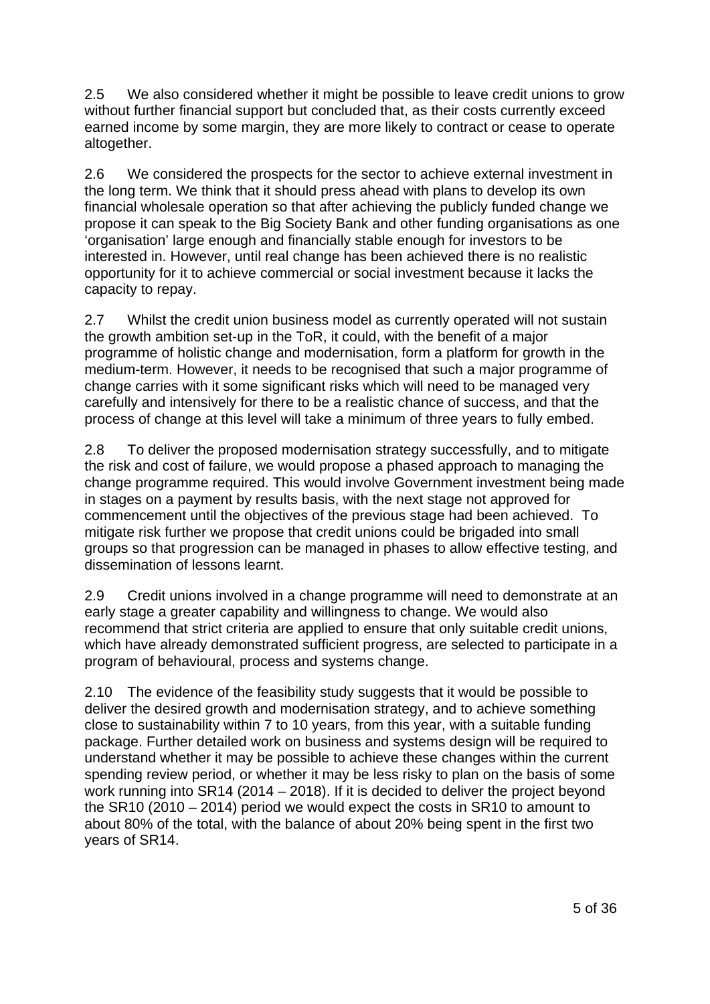2.5 We also considered whether it might be possible to leave credit unions to grow without further financial support but concluded that, as their costs currently exceed earned income by some margin, they are more likely to contract or cease to operate altogether.

2.6 We considered the prospects for the sector to achieve external investment in the long term. We think that it should press ahead with plans to develop its own financial wholesale operation so that after achieving the publicly funded change we propose it can speak to the Big Society Bank and other funding organisations as one 'organisation' large enough and financially stable enough for investors to be interested in. However, until real change has been achieved there is no realistic opportunity for it to achieve commercial or social investment because it lacks the capacity to repay.

2.7 Whilst the credit union business model as currently operated will not sustain the growth ambition set-up in the ToR, it could, with the benefit of a major programme of holistic change and modernisation, form a platform for growth in the medium-term. However, it needs to be recognised that such a major programme of change carries with it some significant risks which will need to be managed very carefully and intensively for there to be a realistic chance of success, and that the process of change at this level will take a minimum of three years to fully embed.

2.8 To deliver the proposed modernisation strategy successfully, and to mitigate the risk and cost of failure, we would propose a phased approach to managing the change programme required. This would involve Government investment being made in stages on a payment by results basis, with the next stage not approved for commencement until the objectives of the previous stage had been achieved. To mitigate risk further we propose that credit unions could be brigaded into small groups so that progression can be managed in phases to allow effective testing, and dissemination of lessons learnt.

2.9 Credit unions involved in a change programme will need to demonstrate at an early stage a greater capability and willingness to change. We would also recommend that strict criteria are applied to ensure that only suitable credit unions, which have already demonstrated sufficient progress, are selected to participate in a program of behavioural, process and systems change.

2.10 The evidence of the feasibility study suggests that it would be possible to deliver the desired growth and modernisation strategy, and to achieve something close to sustainability within 7 to 10 years, from this year, with a suitable funding package. Further detailed work on business and systems design will be required to understand whether it may be possible to achieve these changes within the current spending review period, or whether it may be less risky to plan on the basis of some work running into SR14 (2014 – 2018). If it is decided to deliver the project beyond the SR10 (2010 – 2014) period we would expect the costs in SR10 to amount to about 80% of the total, with the balance of about 20% being spent in the first two years of SR14.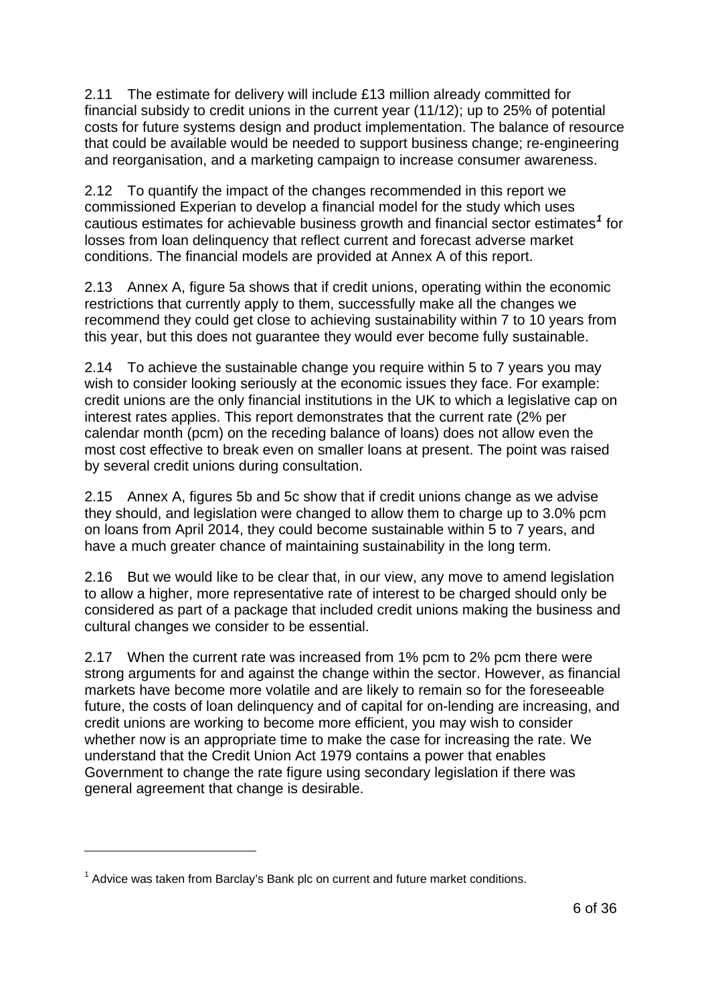<span id="page-5-0"></span>2.11 The estimate for delivery will include £13 million already committed for financial subsidy to credit unions in the current year (11/12); up to 25% of potential costs for future systems design and product implementation. The balance of resource that could be available would be needed to support business change; re-engineering and reorganisation, and a marketing campaign to increase consumer awareness.

2.12 To quantify the impact of the changes recommended in this report we commissioned Experian to develop a financial model for the study which uses cautious estimates for achievable business growth and financial sector estimates*[1](#page-5-1)* for losses from loan delinquency that reflect current and forecast adverse market conditions. The financial models are provided at Annex A of this report.

2.13 Annex A, figure 5a shows that if credit unions, operating within the economic restrictions that currently apply to them, successfully make all the changes we recommend they could get close to achieving sustainability within 7 to 10 years from this year, but this does not guarantee they would ever become fully sustainable.

2.14 To achieve the sustainable change you require within 5 to 7 years you may wish to consider looking seriously at the economic issues they face. For example: credit unions are the only financial institutions in the UK to which a legislative cap on interest rates applies. This report demonstrates that the current rate (2% per calendar month (pcm) on the receding balance of loans) does not allow even the most cost effective to break even on smaller loans at present. The point was raised by several credit unions during consultation.

2.15 Annex A, figures 5b and 5c show that if credit unions change as we advise they should, and legislation were changed to allow them to charge up to 3.0% pcm on loans from April 2014, they could become sustainable within 5 to 7 years, and have a much greater chance of maintaining sustainability in the long term.

2.16 But we would like to be clear that, in our view, any move to amend legislation to allow a higher, more representative rate of interest to be charged should only be considered as part of a package that included credit unions making the business and cultural changes we consider to be essential.

2.17 When the current rate was increased from 1% pcm to 2% pcm there were strong arguments for and against the change within the sector. However, as financial markets have become more volatile and are likely to remain so for the foreseeable future, the costs of loan delinquency and of capital for on-lending are increasing, and credit unions are working to become more efficient, you may wish to consider whether now is an appropriate time to make the case for increasing the rate. We understand that the Credit Union Act 1979 contains a power that enables Government to change the rate figure using secondary legislation if there was general agreement that change is desirable.

1

<span id="page-5-1"></span> $1$  Advice was taken from Barclay's Bank plc on current and future market conditions.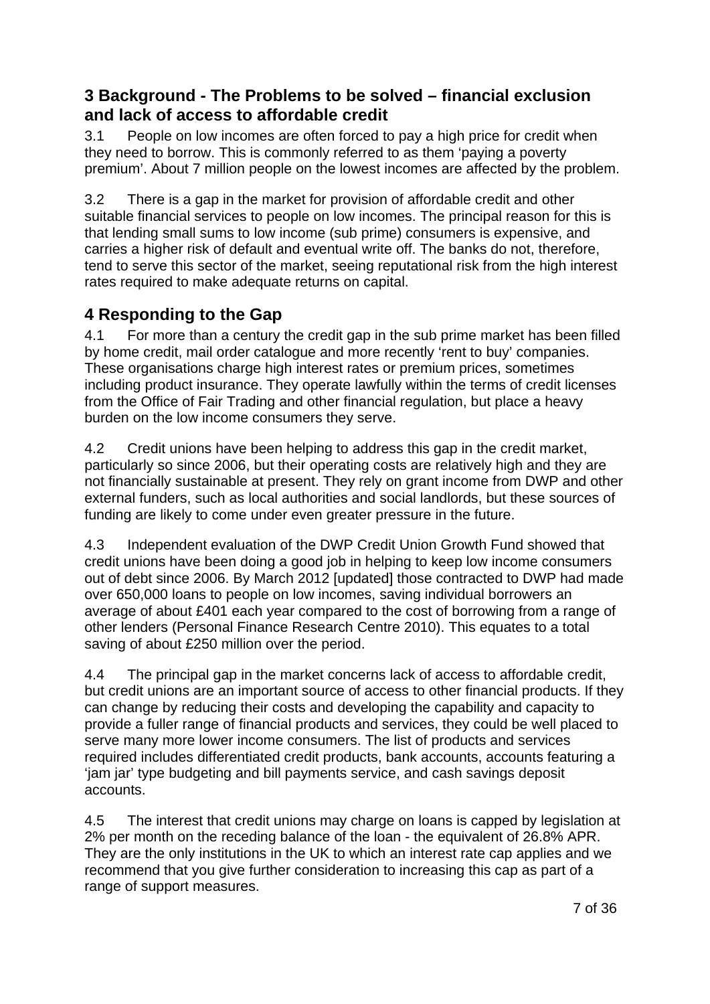# <span id="page-6-0"></span>**3 Background - The Problems to be solved – financial exclusion and lack of access to affordable credit**

3.1 People on low incomes are often forced to pay a high price for credit when they need to borrow. This is commonly referred to as them 'paying a poverty premium'. About 7 million people on the lowest incomes are affected by the problem.

3.2 There is a gap in the market for provision of affordable credit and other suitable financial services to people on low incomes. The principal reason for this is that lending small sums to low income (sub prime) consumers is expensive, and carries a higher risk of default and eventual write off. The banks do not, therefore, tend to serve this sector of the market, seeing reputational risk from the high interest rates required to make adequate returns on capital.

# **4 Responding to the Gap**

4.1 For more than a century the credit gap in the sub prime market has been filled by home credit, mail order catalogue and more recently 'rent to buy' companies. These organisations charge high interest rates or premium prices, sometimes including product insurance. They operate lawfully within the terms of credit licenses from the Office of Fair Trading and other financial regulation, but place a heavy burden on the low income consumers they serve.

4.2 Credit unions have been helping to address this gap in the credit market, particularly so since 2006, but their operating costs are relatively high and they are not financially sustainable at present. They rely on grant income from DWP and other external funders, such as local authorities and social landlords, but these sources of funding are likely to come under even greater pressure in the future.

4.3 Independent evaluation of the DWP Credit Union Growth Fund showed that credit unions have been doing a good job in helping to keep low income consumers out of debt since 2006. By March 2012 [updated] those contracted to DWP had made over 650,000 loans to people on low incomes, saving individual borrowers an average of about £401 each year compared to the cost of borrowing from a range of other lenders (Personal Finance Research Centre 2010). This equates to a total saving of about £250 million over the period.

4.4 The principal gap in the market concerns lack of access to affordable credit, but credit unions are an important source of access to other financial products. If they can change by reducing their costs and developing the capability and capacity to provide a fuller range of financial products and services, they could be well placed to serve many more lower income consumers. The list of products and services required includes differentiated credit products, bank accounts, accounts featuring a 'jam jar' type budgeting and bill payments service, and cash savings deposit accounts.

4.5 The interest that credit unions may charge on loans is capped by legislation at 2% per month on the receding balance of the loan - the equivalent of 26.8% APR. They are the only institutions in the UK to which an interest rate cap applies and we recommend that you give further consideration to increasing this cap as part of a range of support measures.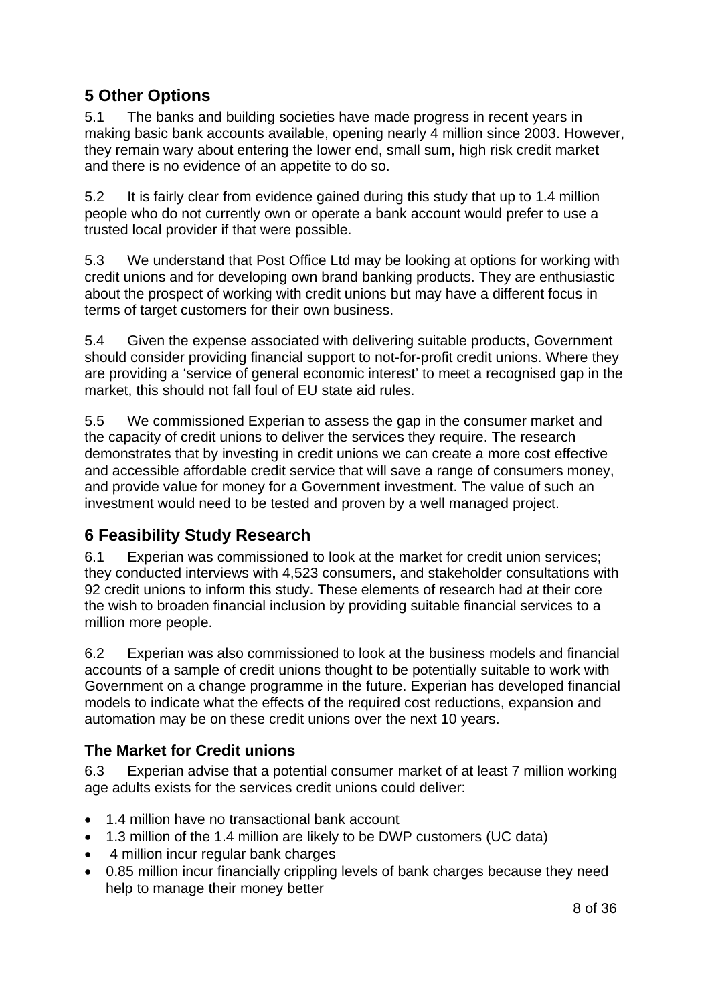# <span id="page-7-0"></span>**5 Other Options**

5.1 The banks and building societies have made progress in recent years in making basic bank accounts available, opening nearly 4 million since 2003. However, they remain wary about entering the lower end, small sum, high risk credit market and there is no evidence of an appetite to do so.

5.2 It is fairly clear from evidence gained during this study that up to 1.4 million people who do not currently own or operate a bank account would prefer to use a trusted local provider if that were possible.

5.3 We understand that Post Office Ltd may be looking at options for working with credit unions and for developing own brand banking products. They are enthusiastic about the prospect of working with credit unions but may have a different focus in terms of target customers for their own business.

5.4 Given the expense associated with delivering suitable products, Government should consider providing financial support to not-for-profit credit unions. Where they are providing a 'service of general economic interest' to meet a recognised gap in the market, this should not fall foul of EU state aid rules.

5.5 We commissioned Experian to assess the gap in the consumer market and the capacity of credit unions to deliver the services they require. The research demonstrates that by investing in credit unions we can create a more cost effective and accessible affordable credit service that will save a range of consumers money, and provide value for money for a Government investment. The value of such an investment would need to be tested and proven by a well managed project.

# **6 Feasibility Study Research**

6.1 Experian was commissioned to look at the market for credit union services; they conducted interviews with 4,523 consumers, and stakeholder consultations with 92 credit unions to inform this study. These elements of research had at their core the wish to broaden financial inclusion by providing suitable financial services to a million more people.

6.2 Experian was also commissioned to look at the business models and financial accounts of a sample of credit unions thought to be potentially suitable to work with Government on a change programme in the future. Experian has developed financial models to indicate what the effects of the required cost reductions, expansion and automation may be on these credit unions over the next 10 years.

# **The Market for Credit unions**

6.3 Experian advise that a potential consumer market of at least 7 million working age adults exists for the services credit unions could deliver:

- 1.4 million have no transactional bank account
- 1.3 million of the 1.4 million are likely to be DWP customers (UC data)
- 4 million incur regular bank charges
- 0.85 million incur financially crippling levels of bank charges because they need help to manage their money better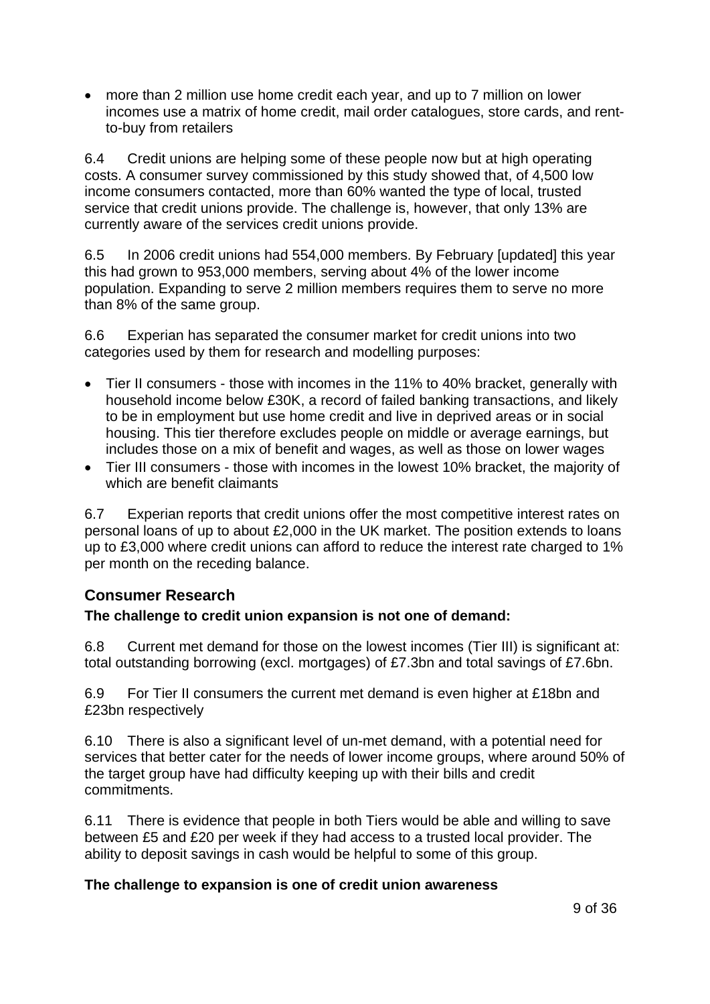<span id="page-8-0"></span>• more than 2 million use home credit each year, and up to 7 million on lower incomes use a matrix of home credit, mail order catalogues, store cards, and rentto-buy from retailers

6.4 Credit unions are helping some of these people now but at high operating costs. A consumer survey commissioned by this study showed that, of 4,500 low income consumers contacted, more than 60% wanted the type of local, trusted service that credit unions provide. The challenge is, however, that only 13% are currently aware of the services credit unions provide.

6.5 In 2006 credit unions had 554,000 members. By February [updated] this year this had grown to 953,000 members, serving about 4% of the lower income population. Expanding to serve 2 million members requires them to serve no more than 8% of the same group.

6.6 Experian has separated the consumer market for credit unions into two categories used by them for research and modelling purposes:

- Tier II consumers those with incomes in the 11% to 40% bracket, generally with household income below £30K, a record of failed banking transactions, and likely to be in employment but use home credit and live in deprived areas or in social housing. This tier therefore excludes people on middle or average earnings, but includes those on a mix of benefit and wages, as well as those on lower wages
- Tier III consumers those with incomes in the lowest 10% bracket, the majority of which are benefit claimants

6.7 Experian reports that credit unions offer the most competitive interest rates on personal loans of up to about £2,000 in the UK market. The position extends to loans up to £3,000 where credit unions can afford to reduce the interest rate charged to 1% per month on the receding balance.

## **Consumer Research**

#### **The challenge to credit union expansion is not one of demand:**

6.8 Current met demand for those on the lowest incomes (Tier III) is significant at: total outstanding borrowing (excl. mortgages) of £7.3bn and total savings of £7.6bn.

6.9 For Tier II consumers the current met demand is even higher at £18bn and £23bn respectively

6.10 There is also a significant level of un-met demand, with a potential need for services that better cater for the needs of lower income groups, where around 50% of the target group have had difficulty keeping up with their bills and credit commitments.

6.11 There is evidence that people in both Tiers would be able and willing to save between £5 and £20 per week if they had access to a trusted local provider. The ability to deposit savings in cash would be helpful to some of this group.

#### **The challenge to expansion is one of credit union awareness**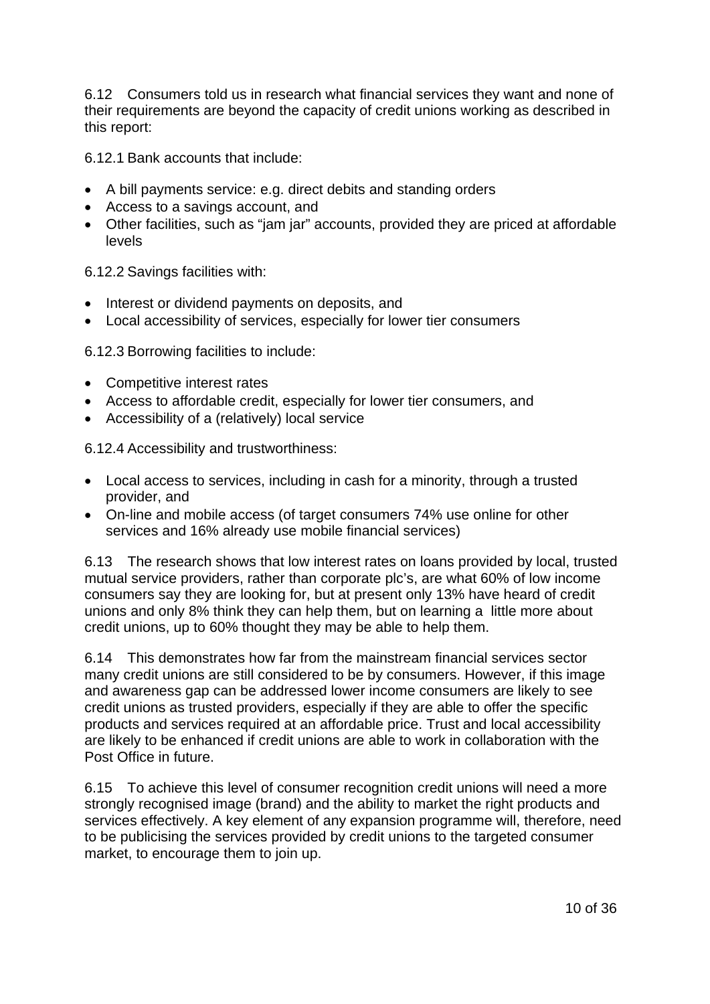6.12 Consumers told us in research what financial services they want and none of their requirements are beyond the capacity of credit unions working as described in this report:

6.12.1 Bank accounts that include:

- A bill payments service: e.g. direct debits and standing orders
- Access to a savings account, and
- Other facilities, such as "jam jar" accounts, provided they are priced at affordable levels

6.12.2 Savings facilities with:

- Interest or dividend payments on deposits, and
- Local accessibility of services, especially for lower tier consumers

6.12.3 Borrowing facilities to include:

- Competitive interest rates
- Access to affordable credit, especially for lower tier consumers, and
- Accessibility of a (relatively) local service

6.12.4 Accessibility and trustworthiness:

- Local access to services, including in cash for a minority, through a trusted provider, and
- On-line and mobile access (of target consumers 74% use online for other services and 16% already use mobile financial services)

6.13 The research shows that low interest rates on loans provided by local, trusted mutual service providers, rather than corporate plc's, are what 60% of low income consumers say they are looking for, but at present only 13% have heard of credit unions and only 8% think they can help them, but on learning a little more about credit unions, up to 60% thought they may be able to help them.

6.14 This demonstrates how far from the mainstream financial services sector many credit unions are still considered to be by consumers. However, if this image and awareness gap can be addressed lower income consumers are likely to see credit unions as trusted providers, especially if they are able to offer the specific products and services required at an affordable price. Trust and local accessibility are likely to be enhanced if credit unions are able to work in collaboration with the Post Office in future.

6.15 To achieve this level of consumer recognition credit unions will need a more strongly recognised image (brand) and the ability to market the right products and services effectively. A key element of any expansion programme will, therefore, need to be publicising the services provided by credit unions to the targeted consumer market, to encourage them to join up.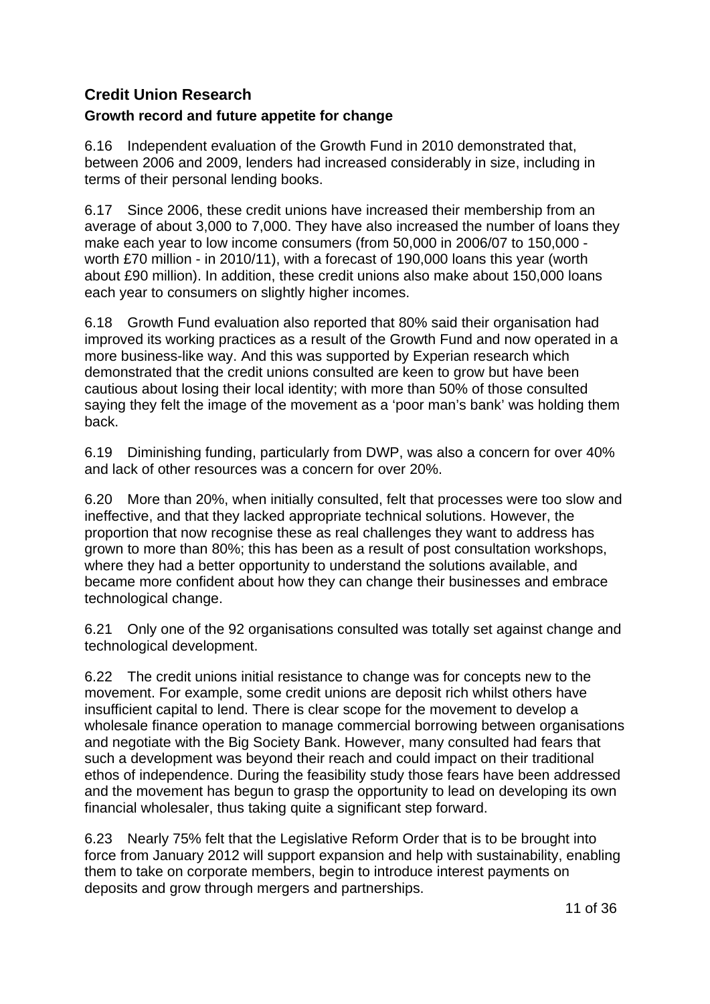## <span id="page-10-0"></span>**Credit Union Research**

## **Growth record and future appetite for change**

6.16 Independent evaluation of the Growth Fund in 2010 demonstrated that, between 2006 and 2009, lenders had increased considerably in size, including in terms of their personal lending books.

6.17 Since 2006, these credit unions have increased their membership from an average of about 3,000 to 7,000. They have also increased the number of loans they make each year to low income consumers (from 50,000 in 2006/07 to 150,000 worth £70 million - in 2010/11), with a forecast of 190,000 loans this year (worth about £90 million). In addition, these credit unions also make about 150,000 loans each year to consumers on slightly higher incomes.

6.18 Growth Fund evaluation also reported that 80% said their organisation had improved its working practices as a result of the Growth Fund and now operated in a more business-like way. And this was supported by Experian research which demonstrated that the credit unions consulted are keen to grow but have been cautious about losing their local identity; with more than 50% of those consulted saying they felt the image of the movement as a 'poor man's bank' was holding them back.

6.19 Diminishing funding, particularly from DWP, was also a concern for over 40% and lack of other resources was a concern for over 20%.

6.20 More than 20%, when initially consulted, felt that processes were too slow and ineffective, and that they lacked appropriate technical solutions. However, the proportion that now recognise these as real challenges they want to address has grown to more than 80%; this has been as a result of post consultation workshops, where they had a better opportunity to understand the solutions available, and became more confident about how they can change their businesses and embrace technological change.

6.21 Only one of the 92 organisations consulted was totally set against change and technological development.

6.22 The credit unions initial resistance to change was for concepts new to the movement. For example, some credit unions are deposit rich whilst others have insufficient capital to lend. There is clear scope for the movement to develop a wholesale finance operation to manage commercial borrowing between organisations and negotiate with the Big Society Bank. However, many consulted had fears that such a development was beyond their reach and could impact on their traditional ethos of independence. During the feasibility study those fears have been addressed and the movement has begun to grasp the opportunity to lead on developing its own financial wholesaler, thus taking quite a significant step forward.

6.23 Nearly 75% felt that the Legislative Reform Order that is to be brought into force from January 2012 will support expansion and help with sustainability, enabling them to take on corporate members, begin to introduce interest payments on deposits and grow through mergers and partnerships.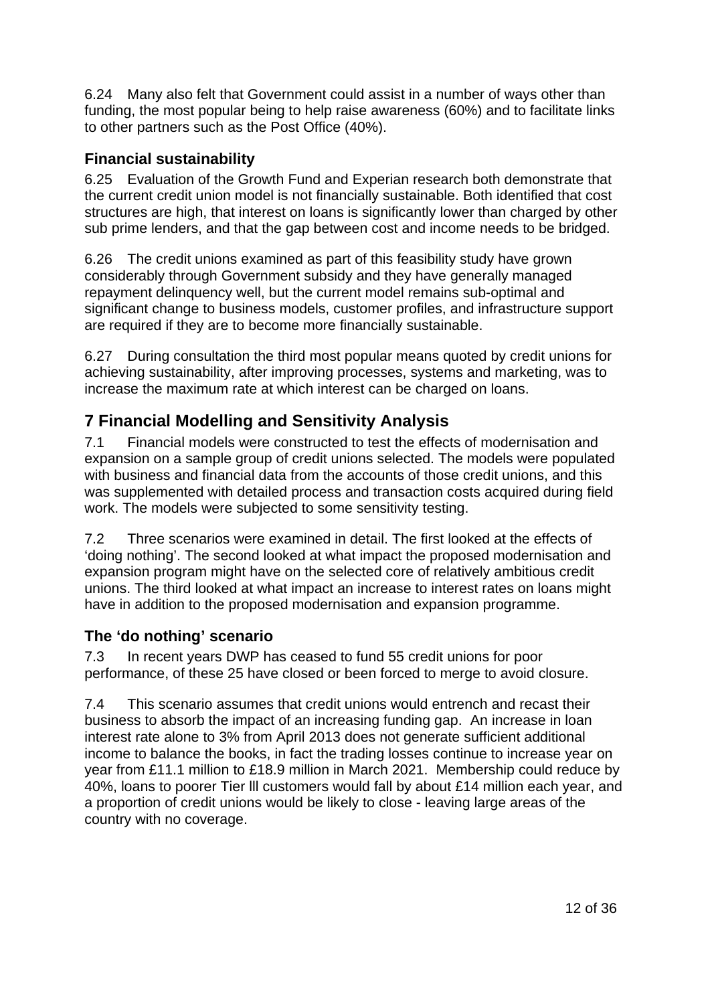<span id="page-11-0"></span>6.24 Many also felt that Government could assist in a number of ways other than funding, the most popular being to help raise awareness (60%) and to facilitate links to other partners such as the Post Office (40%).

## **Financial sustainability**

6.25 Evaluation of the Growth Fund and Experian research both demonstrate that the current credit union model is not financially sustainable. Both identified that cost structures are high, that interest on loans is significantly lower than charged by other sub prime lenders, and that the gap between cost and income needs to be bridged.

6.26 The credit unions examined as part of this feasibility study have grown considerably through Government subsidy and they have generally managed repayment delinquency well, but the current model remains sub-optimal and significant change to business models, customer profiles, and infrastructure support are required if they are to become more financially sustainable.

6.27 During consultation the third most popular means quoted by credit unions for achieving sustainability, after improving processes, systems and marketing, was to increase the maximum rate at which interest can be charged on loans.

# **7 Financial Modelling and Sensitivity Analysis**

7.1 Financial models were constructed to test the effects of modernisation and expansion on a sample group of credit unions selected. The models were populated with business and financial data from the accounts of those credit unions, and this was supplemented with detailed process and transaction costs acquired during field work. The models were subjected to some sensitivity testing.

7.2 Three scenarios were examined in detail. The first looked at the effects of 'doing nothing'. The second looked at what impact the proposed modernisation and expansion program might have on the selected core of relatively ambitious credit unions. The third looked at what impact an increase to interest rates on loans might have in addition to the proposed modernisation and expansion programme.

## **The 'do nothing' scenario**

7.3 In recent years DWP has ceased to fund 55 credit unions for poor performance, of these 25 have closed or been forced to merge to avoid closure.

7.4 This scenario assumes that credit unions would entrench and recast their business to absorb the impact of an increasing funding gap. An increase in loan interest rate alone to 3% from April 2013 does not generate sufficient additional income to balance the books, in fact the trading losses continue to increase year on year from £11.1 million to £18.9 million in March 2021. Membership could reduce by 40%, loans to poorer Tier lll customers would fall by about £14 million each year, and a proportion of credit unions would be likely to close - leaving large areas of the country with no coverage.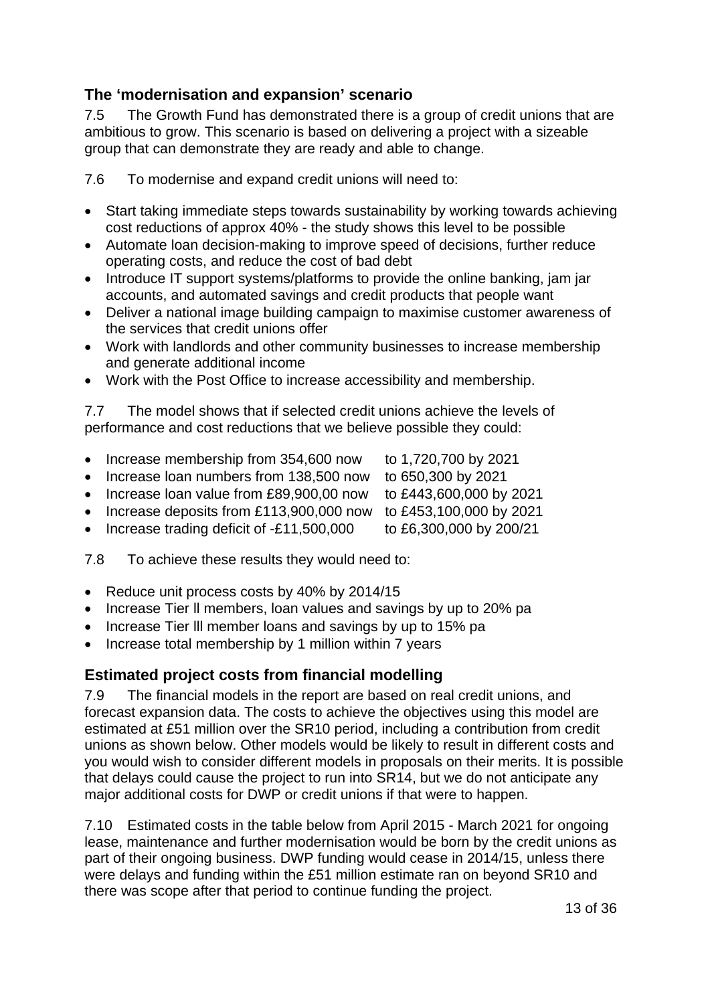## <span id="page-12-0"></span>**The 'modernisation and expansion' scenario**

7.5 The Growth Fund has demonstrated there is a group of credit unions that are ambitious to grow. This scenario is based on delivering a project with a sizeable group that can demonstrate they are ready and able to change.

7.6 To modernise and expand credit unions will need to:

- Start taking immediate steps towards sustainability by working towards achieving cost reductions of approx 40% - the study shows this level to be possible
- Automate loan decision-making to improve speed of decisions, further reduce operating costs, and reduce the cost of bad debt
- Introduce IT support systems/platforms to provide the online banking, jam jar accounts, and automated savings and credit products that people want
- Deliver a national image building campaign to maximise customer awareness of the services that credit unions offer
- Work with landlords and other community businesses to increase membership and generate additional income
- Work with the Post Office to increase accessibility and membership.

7.7 The model shows that if selected credit unions achieve the levels of performance and cost reductions that we believe possible they could:

- Increase membership from 354,600 now to 1,720,700 by 2021
- Increase loan numbers from 138,500 now to 650,300 by 2021
- Increase loan value from £89,900,00 now to £443,600,000 by 2021
- Increase deposits from £113,900,000 now to £453,100,000 by 2021
- Increase trading deficit of  $-£11,500,000$  to  $£6,300,000$  by  $200/21$

7.8 To achieve these results they would need to:

- Reduce unit process costs by 40% by 2014/15
- Increase Tier ll members, loan values and savings by up to 20% pa
- Increase Tier lll member loans and savings by up to 15% pa
- Increase total membership by 1 million within 7 years

## **Estimated project costs from financial modelling**

7.9 The financial models in the report are based on real credit unions, and forecast expansion data. The costs to achieve the objectives using this model are estimated at £51 million over the SR10 period, including a contribution from credit unions as shown below. Other models would be likely to result in different costs and you would wish to consider different models in proposals on their merits. It is possible that delays could cause the project to run into SR14, but we do not anticipate any major additional costs for DWP or credit unions if that were to happen.

7.10 Estimated costs in the table below from April 2015 - March 2021 for ongoing lease, maintenance and further modernisation would be born by the credit unions as part of their ongoing business. DWP funding would cease in 2014/15, unless there were delays and funding within the £51 million estimate ran on beyond SR10 and there was scope after that period to continue funding the project.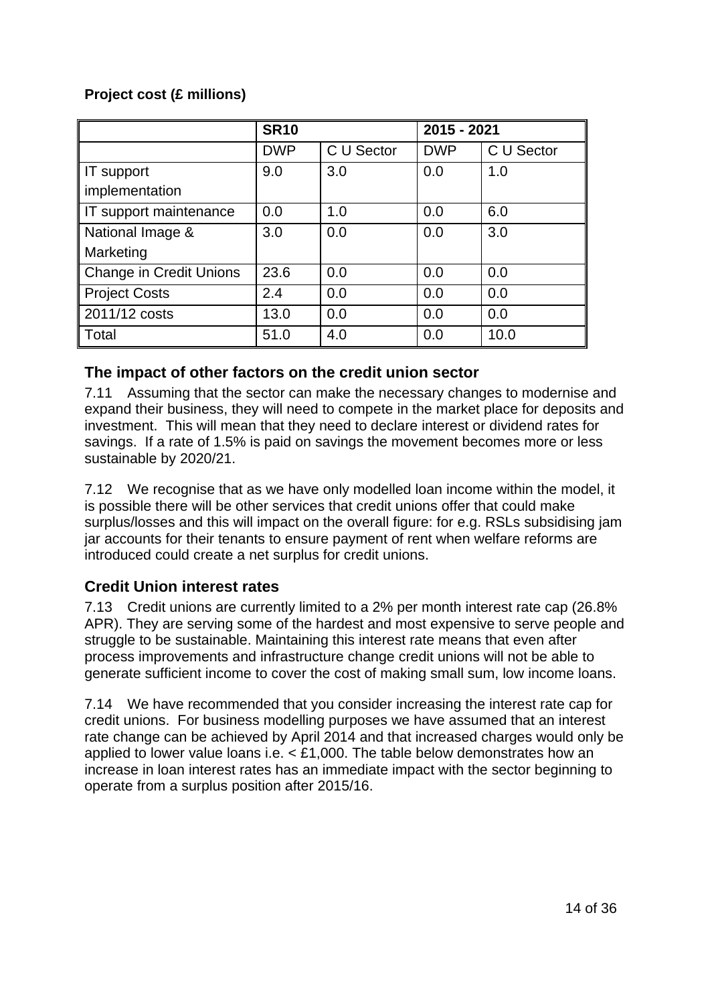## <span id="page-13-0"></span>**Project cost (£ millions)**

|                                | <b>SR10</b> |            | 2015 - 2021 |            |
|--------------------------------|-------------|------------|-------------|------------|
|                                | <b>DWP</b>  | C U Sector | <b>DWP</b>  | C U Sector |
| IT support                     | 9.0         | 3.0        | 0.0         | 1.0        |
| implementation                 |             |            |             |            |
| IT support maintenance         | 0.0         | 1.0        | 0.0         | 6.0        |
| National Image &               | 3.0         | 0.0        | 0.0         | 3.0        |
| Marketing                      |             |            |             |            |
| <b>Change in Credit Unions</b> | 23.6        | 0.0        | 0.0         | 0.0        |
| <b>Project Costs</b>           | 2.4         | 0.0        | 0.0         | 0.0        |
| 2011/12 costs                  | 13.0        | 0.0        | 0.0         | 0.0        |
| Total                          | 51.0        | 4.0        | 0.0         | 10.0       |

## **The impact of other factors on the credit union sector**

7.11 Assuming that the sector can make the necessary changes to modernise and expand their business, they will need to compete in the market place for deposits and investment. This will mean that they need to declare interest or dividend rates for savings. If a rate of 1.5% is paid on savings the movement becomes more or less sustainable by 2020/21.

7.12 We recognise that as we have only modelled loan income within the model, it is possible there will be other services that credit unions offer that could make surplus/losses and this will impact on the overall figure: for e.g. RSLs subsidising jam jar accounts for their tenants to ensure payment of rent when welfare reforms are introduced could create a net surplus for credit unions.

## **Credit Union interest rates**

7.13 Credit unions are currently limited to a 2% per month interest rate cap (26.8% APR). They are serving some of the hardest and most expensive to serve people and struggle to be sustainable. Maintaining this interest rate means that even after process improvements and infrastructure change credit unions will not be able to generate sufficient income to cover the cost of making small sum, low income loans.

7.14 We have recommended that you consider increasing the interest rate cap for credit unions. For business modelling purposes we have assumed that an interest rate change can be achieved by April 2014 and that increased charges would only be applied to lower value loans i.e. < £1,000. The table below demonstrates how an increase in loan interest rates has an immediate impact with the sector beginning to operate from a surplus position after 2015/16.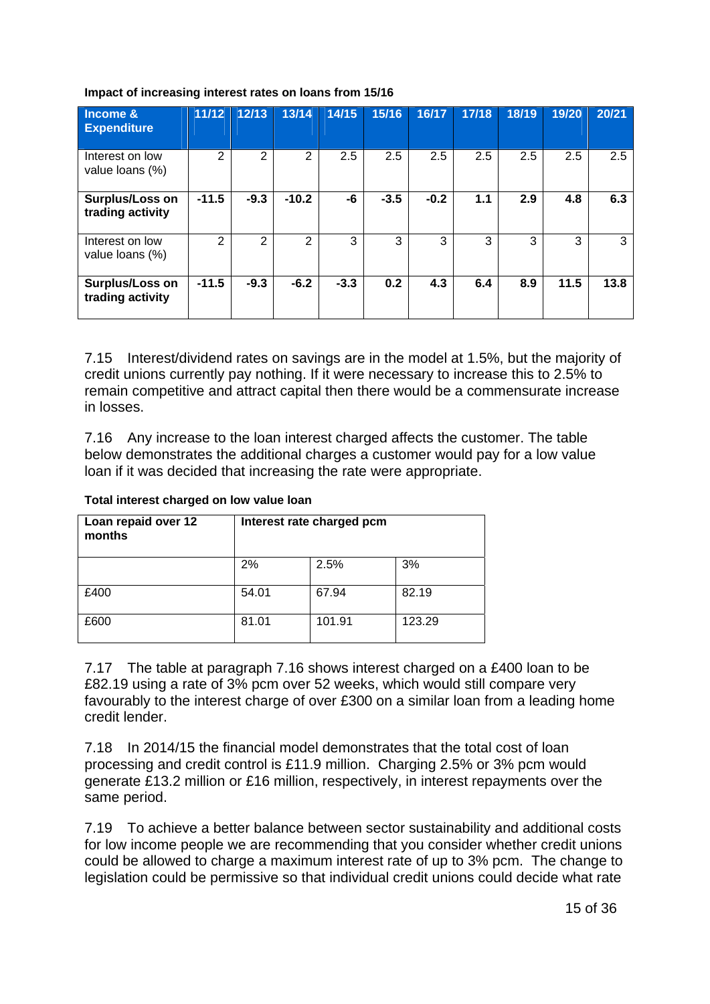| Income &<br><b>Expenditure</b>      | 11/12          | 12/13  | 13/14   | 14/15  | 15/16  | 16/17  | 17/18 | 18/19 | 19/20 | 20/21 |
|-------------------------------------|----------------|--------|---------|--------|--------|--------|-------|-------|-------|-------|
| Interest on low<br>value loans (%)  | $\overline{2}$ | 2      | 2       | 2.5    | 2.5    | 2.5    | 2.5   | 2.5   | 2.5   | 2.5   |
| Surplus/Loss on<br>trading activity | $-11.5$        | $-9.3$ | $-10.2$ | -6     | $-3.5$ | $-0.2$ | 1.1   | 2.9   | 4.8   | 6.3   |
| Interest on low<br>value loans (%)  | 2              | 2      | 2       | 3      | 3      | 3      | 3     | 3     | 3     | 3     |
| Surplus/Loss on<br>trading activity | $-11.5$        | $-9.3$ | $-6.2$  | $-3.3$ | 0.2    | 4.3    | 6.4   | 8.9   | 11.5  | 13.8  |

#### **Impact of increasing interest rates on loans from 15/16**

7.15 Interest/dividend rates on savings are in the model at 1.5%, but the majority of credit unions currently pay nothing. If it were necessary to increase this to 2.5% to remain competitive and attract capital then there would be a commensurate increase in losses.

7.16 Any increase to the loan interest charged affects the customer. The table below demonstrates the additional charges a customer would pay for a low value loan if it was decided that increasing the rate were appropriate.

| Loan repaid over 12<br>months | Interest rate charged pcm |        |        |  |  |  |  |  |
|-------------------------------|---------------------------|--------|--------|--|--|--|--|--|
|                               | 2%                        | 2.5%   | 3%     |  |  |  |  |  |
| £400                          | 54.01                     | 67.94  | 82.19  |  |  |  |  |  |
| £600                          | 81.01                     | 101.91 | 123.29 |  |  |  |  |  |

#### **Total interest charged on low value loan**

7.17 The table at paragraph 7.16 shows interest charged on a £400 loan to be £82.19 using a rate of 3% pcm over 52 weeks, which would still compare very favourably to the interest charge of over £300 on a similar loan from a leading home credit lender.

7.18 In 2014/15 the financial model demonstrates that the total cost of loan processing and credit control is £11.9 million. Charging 2.5% or 3% pcm would generate £13.2 million or £16 million, respectively, in interest repayments over the same period.

7.19 To achieve a better balance between sector sustainability and additional costs for low income people we are recommending that you consider whether credit unions could be allowed to charge a maximum interest rate of up to 3% pcm. The change to legislation could be permissive so that individual credit unions could decide what rate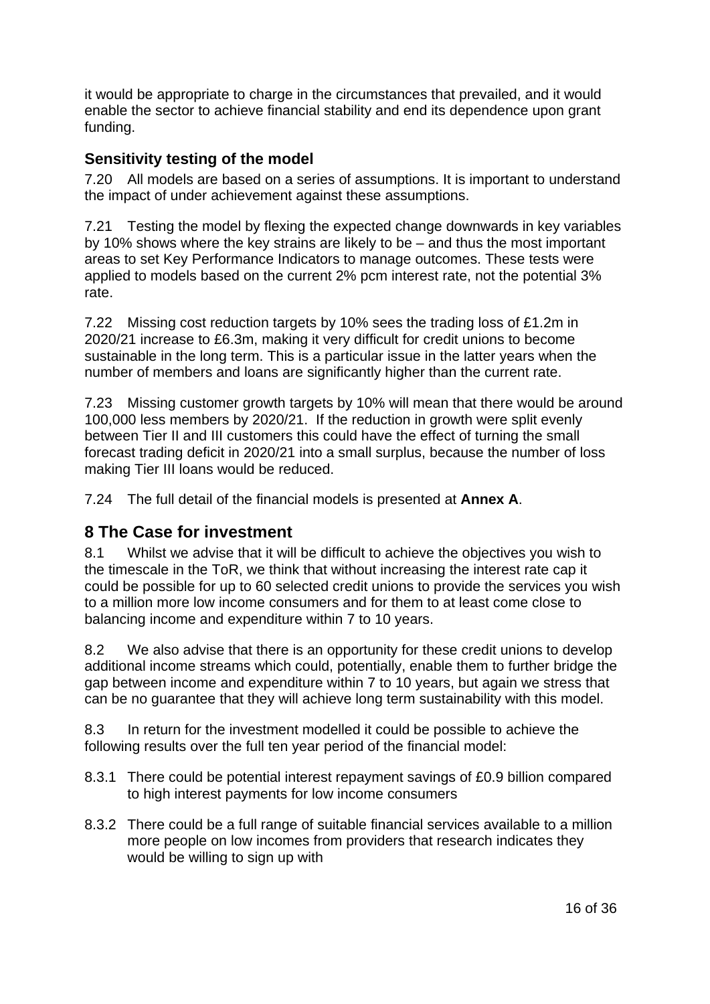<span id="page-15-0"></span>it would be appropriate to charge in the circumstances that prevailed, and it would enable the sector to achieve financial stability and end its dependence upon grant funding.

## **Sensitivity testing of the model**

7.20 All models are based on a series of assumptions. It is important to understand the impact of under achievement against these assumptions.

7.21 Testing the model by flexing the expected change downwards in key variables by 10% shows where the key strains are likely to be – and thus the most important areas to set Key Performance Indicators to manage outcomes. These tests were applied to models based on the current 2% pcm interest rate, not the potential 3% rate.

7.22 Missing cost reduction targets by 10% sees the trading loss of £1.2m in 2020/21 increase to £6.3m, making it very difficult for credit unions to become sustainable in the long term. This is a particular issue in the latter years when the number of members and loans are significantly higher than the current rate.

7.23 Missing customer growth targets by 10% will mean that there would be around 100,000 less members by 2020/21. If the reduction in growth were split evenly between Tier II and III customers this could have the effect of turning the small forecast trading deficit in 2020/21 into a small surplus, because the number of loss making Tier III loans would be reduced.

7.24 The full detail of the financial models is presented at **Annex A**.

# **8 The Case for investment**

8.1 Whilst we advise that it will be difficult to achieve the objectives you wish to the timescale in the ToR, we think that without increasing the interest rate cap it could be possible for up to 60 selected credit unions to provide the services you wish to a million more low income consumers and for them to at least come close to balancing income and expenditure within 7 to 10 years.

8.2 We also advise that there is an opportunity for these credit unions to develop additional income streams which could, potentially, enable them to further bridge the gap between income and expenditure within 7 to 10 years, but again we stress that can be no guarantee that they will achieve long term sustainability with this model.

8.3 In return for the investment modelled it could be possible to achieve the following results over the full ten year period of the financial model:

- 8.3.1 There could be potential interest repayment savings of £0.9 billion compared to high interest payments for low income consumers
- 8.3.2 There could be a full range of suitable financial services available to a million more people on low incomes from providers that research indicates they would be willing to sign up with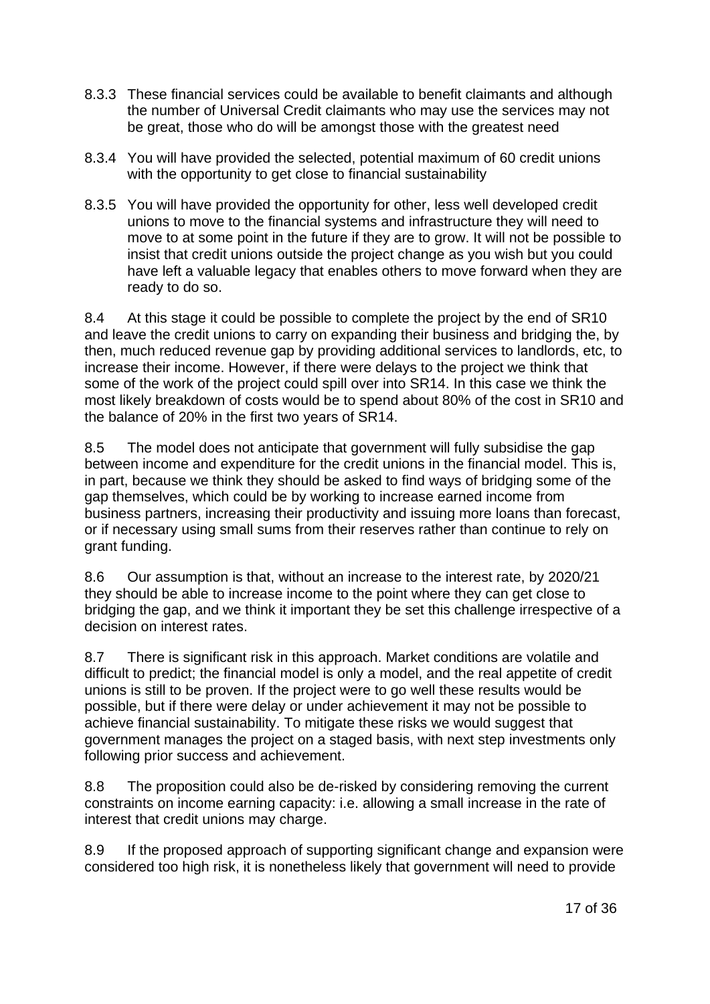- 8.3.3 These financial services could be available to benefit claimants and although the number of Universal Credit claimants who may use the services may not be great, those who do will be amongst those with the greatest need
- 8.3.4 You will have provided the selected, potential maximum of 60 credit unions with the opportunity to get close to financial sustainability
- 8.3.5 You will have provided the opportunity for other, less well developed credit unions to move to the financial systems and infrastructure they will need to move to at some point in the future if they are to grow. It will not be possible to insist that credit unions outside the project change as you wish but you could have left a valuable legacy that enables others to move forward when they are ready to do so.

8.4 At this stage it could be possible to complete the project by the end of SR10 and leave the credit unions to carry on expanding their business and bridging the, by then, much reduced revenue gap by providing additional services to landlords, etc, to increase their income. However, if there were delays to the project we think that some of the work of the project could spill over into SR14. In this case we think the most likely breakdown of costs would be to spend about 80% of the cost in SR10 and the balance of 20% in the first two years of SR14.

8.5 The model does not anticipate that government will fully subsidise the gap between income and expenditure for the credit unions in the financial model. This is, in part, because we think they should be asked to find ways of bridging some of the gap themselves, which could be by working to increase earned income from business partners, increasing their productivity and issuing more loans than forecast, or if necessary using small sums from their reserves rather than continue to rely on grant funding.

8.6 Our assumption is that, without an increase to the interest rate, by 2020/21 they should be able to increase income to the point where they can get close to bridging the gap, and we think it important they be set this challenge irrespective of a decision on interest rates.

8.7 There is significant risk in this approach. Market conditions are volatile and difficult to predict; the financial model is only a model, and the real appetite of credit unions is still to be proven. If the project were to go well these results would be possible, but if there were delay or under achievement it may not be possible to achieve financial sustainability. To mitigate these risks we would suggest that government manages the project on a staged basis, with next step investments only following prior success and achievement.

8.8 The proposition could also be de-risked by considering removing the current constraints on income earning capacity: i.e. allowing a small increase in the rate of interest that credit unions may charge.

8.9 If the proposed approach of supporting significant change and expansion were considered too high risk, it is nonetheless likely that government will need to provide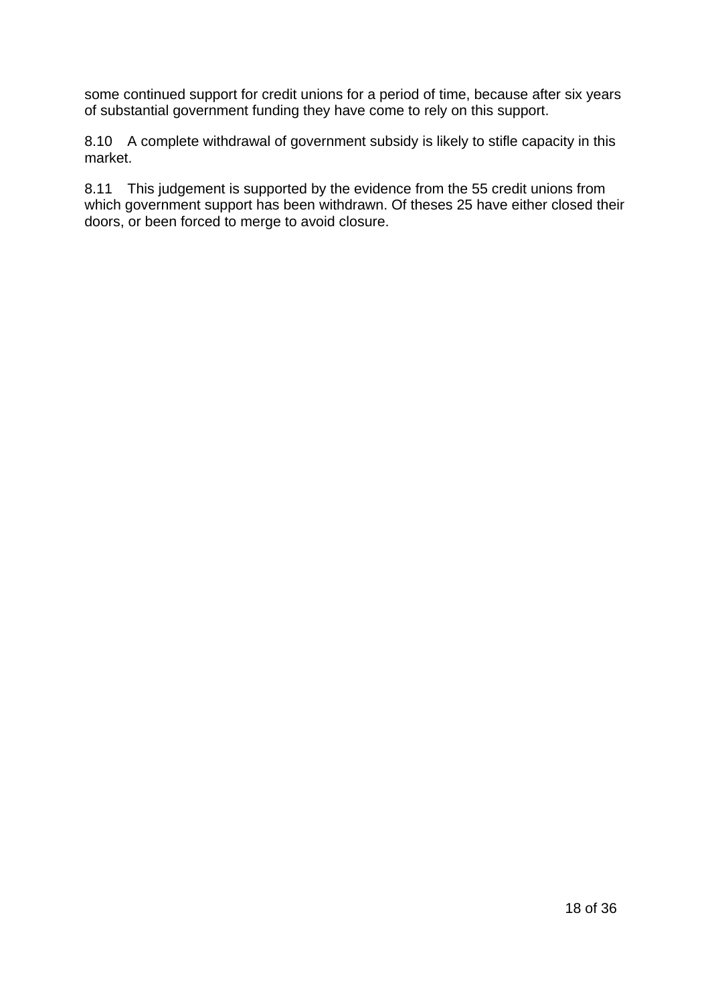<span id="page-17-0"></span>some continued support for credit unions for a period of time, because after six years of substantial government funding they have come to rely on this support.

8.10 A complete withdrawal of government subsidy is likely to stifle capacity in this market.

8.11 This judgement is supported by the evidence from the 55 credit unions from which government support has been withdrawn. Of theses 25 have either closed their doors, or been forced to merge to avoid closure.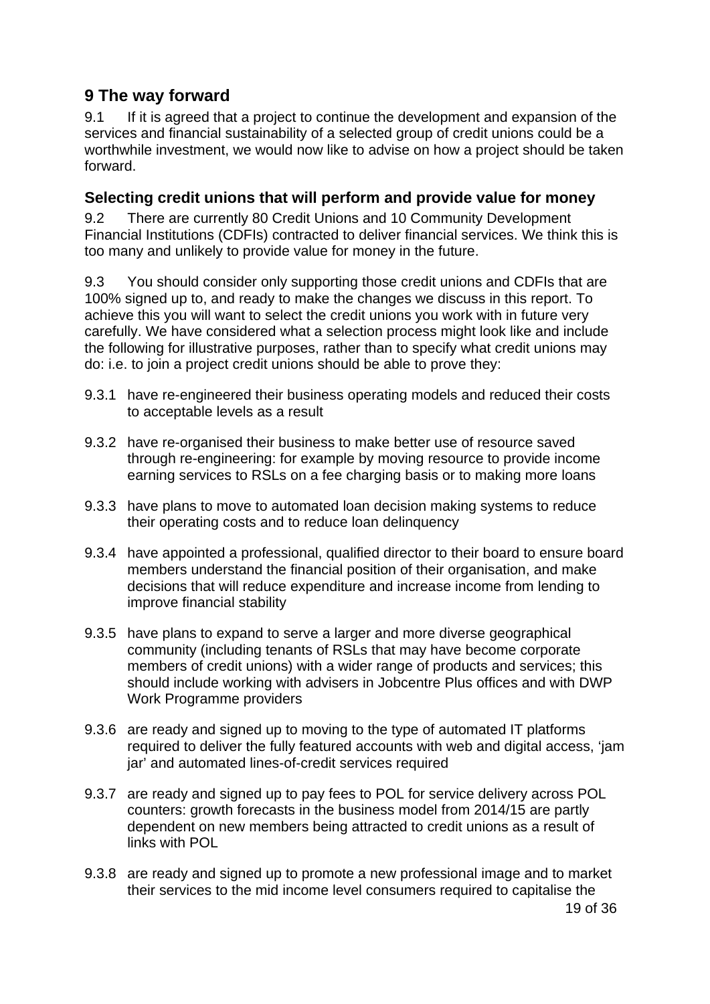# <span id="page-18-0"></span>**9 The way forward**

9.1 If it is agreed that a project to continue the development and expansion of the services and financial sustainability of a selected group of credit unions could be a worthwhile investment, we would now like to advise on how a project should be taken forward.

## **Selecting credit unions that will perform and provide value for money**

9.2 There are currently 80 Credit Unions and 10 Community Development Financial Institutions (CDFIs) contracted to deliver financial services. We think this is too many and unlikely to provide value for money in the future.

9.3 You should consider only supporting those credit unions and CDFIs that are 100% signed up to, and ready to make the changes we discuss in this report. To achieve this you will want to select the credit unions you work with in future very carefully. We have considered what a selection process might look like and include the following for illustrative purposes, rather than to specify what credit unions may do: i.e. to join a project credit unions should be able to prove they:

- 9.3.1 have re-engineered their business operating models and reduced their costs to acceptable levels as a result
- 9.3.2 have re-organised their business to make better use of resource saved through re-engineering: for example by moving resource to provide income earning services to RSLs on a fee charging basis or to making more loans
- 9.3.3 have plans to move to automated loan decision making systems to reduce their operating costs and to reduce loan delinquency
- 9.3.4 have appointed a professional, qualified director to their board to ensure board members understand the financial position of their organisation, and make decisions that will reduce expenditure and increase income from lending to improve financial stability
- 9.3.5 have plans to expand to serve a larger and more diverse geographical community (including tenants of RSLs that may have become corporate members of credit unions) with a wider range of products and services; this should include working with advisers in Jobcentre Plus offices and with DWP Work Programme providers
- 9.3.6 are ready and signed up to moving to the type of automated IT platforms required to deliver the fully featured accounts with web and digital access, 'jam jar' and automated lines-of-credit services required
- 9.3.7 are ready and signed up to pay fees to POL for service delivery across POL counters: growth forecasts in the business model from 2014/15 are partly dependent on new members being attracted to credit unions as a result of links with POL
- 9.3.8 are ready and signed up to promote a new professional image and to market their services to the mid income level consumers required to capitalise the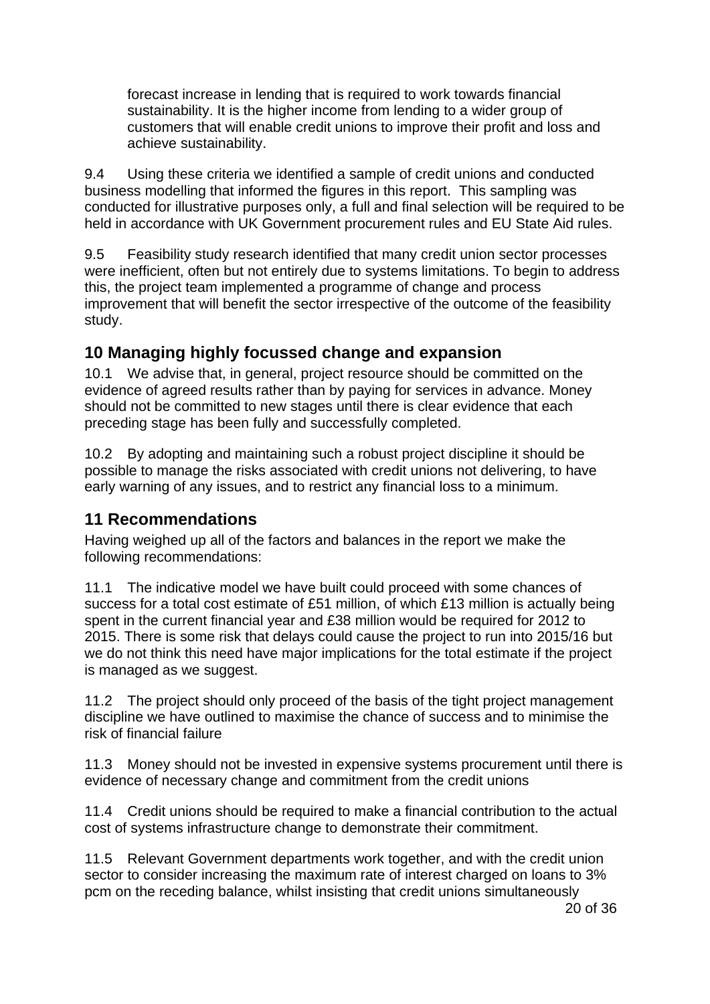<span id="page-19-0"></span> forecast increase in lending that is required to work towards financial sustainability. It is the higher income from lending to a wider group of customers that will enable credit unions to improve their profit and loss and achieve sustainability.

9.4 Using these criteria we identified a sample of credit unions and conducted business modelling that informed the figures in this report. This sampling was conducted for illustrative purposes only, a full and final selection will be required to be held in accordance with UK Government procurement rules and EU State Aid rules.

9.5 Feasibility study research identified that many credit union sector processes were inefficient, often but not entirely due to systems limitations. To begin to address this, the project team implemented a programme of change and process improvement that will benefit the sector irrespective of the outcome of the feasibility study.

# **10 Managing highly focussed change and expansion**

10.1 We advise that, in general, project resource should be committed on the evidence of agreed results rather than by paying for services in advance. Money should not be committed to new stages until there is clear evidence that each preceding stage has been fully and successfully completed.

10.2 By adopting and maintaining such a robust project discipline it should be possible to manage the risks associated with credit unions not delivering, to have early warning of any issues, and to restrict any financial loss to a minimum.

# **11 Recommendations**

Having weighed up all of the factors and balances in the report we make the following recommendations:

11.1 The indicative model we have built could proceed with some chances of success for a total cost estimate of £51 million, of which £13 million is actually being spent in the current financial year and £38 million would be required for 2012 to 2015. There is some risk that delays could cause the project to run into 2015/16 but we do not think this need have major implications for the total estimate if the project is managed as we suggest.

11.2 The project should only proceed of the basis of the tight project management discipline we have outlined to maximise the chance of success and to minimise the risk of financial failure

11.3 Money should not be invested in expensive systems procurement until there is evidence of necessary change and commitment from the credit unions

11.4 Credit unions should be required to make a financial contribution to the actual cost of systems infrastructure change to demonstrate their commitment.

11.5 Relevant Government departments work together, and with the credit union sector to consider increasing the maximum rate of interest charged on loans to 3% pcm on the receding balance, whilst insisting that credit unions simultaneously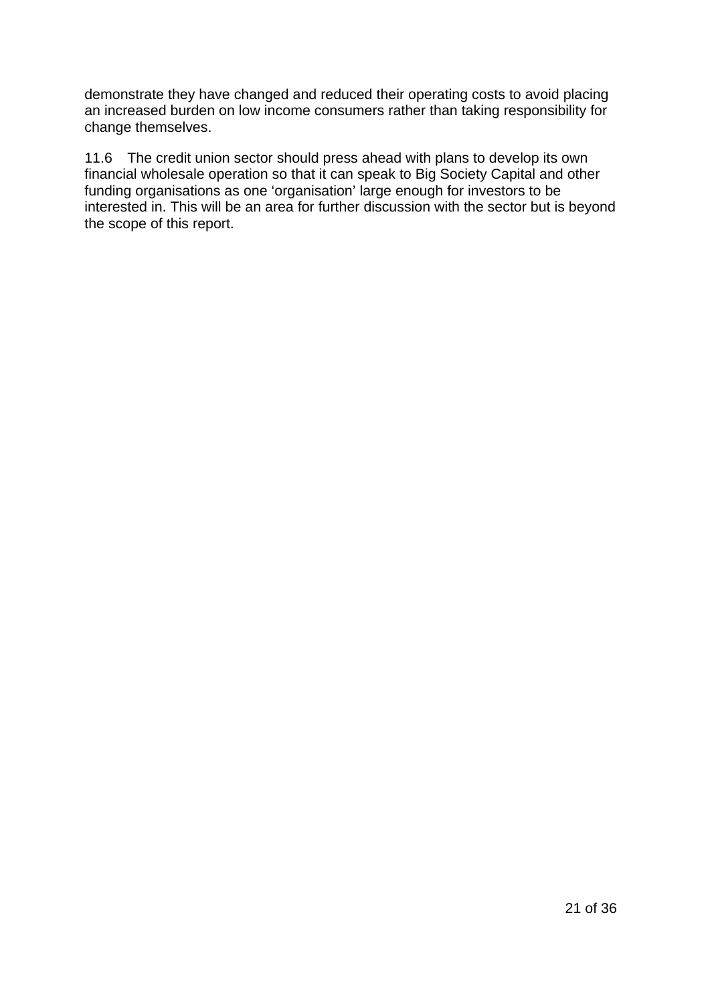<span id="page-20-0"></span>demonstrate they have changed and reduced their operating costs to avoid placing an increased burden on low income consumers rather than taking responsibility for change themselves.

11.6 The credit union sector should press ahead with plans to develop its own financial wholesale operation so that it can speak to Big Society Capital and other funding organisations as one 'organisation' large enough for investors to be interested in. This will be an area for further discussion with the sector but is beyond the scope of this report.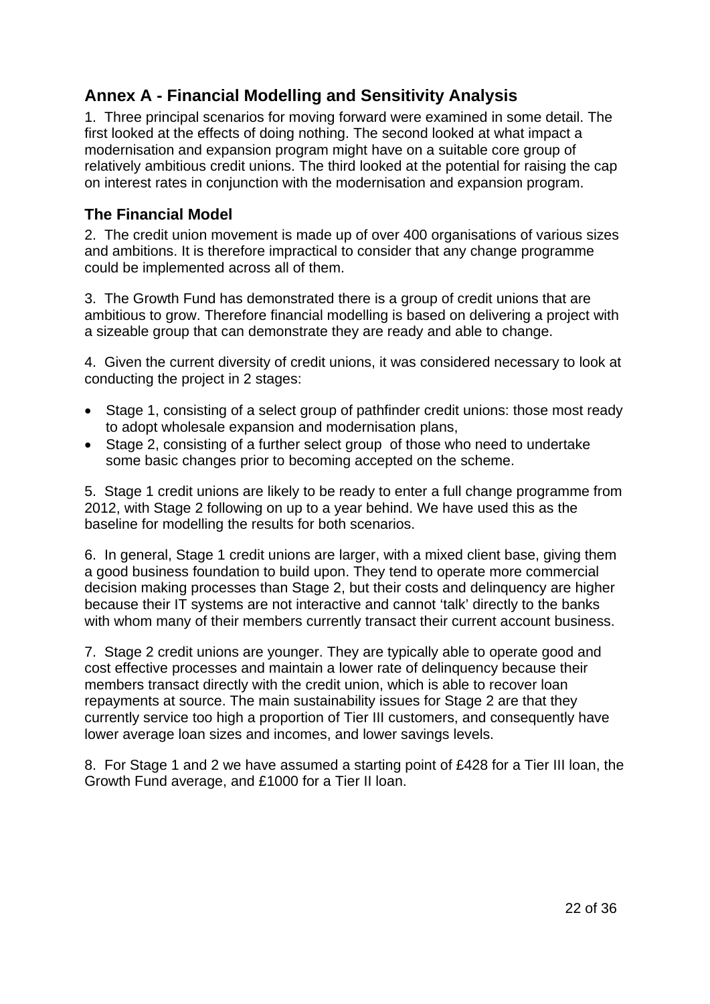# **Annex A - Financial Modelling and Sensitivity Analysis**

1. Three principal scenarios for moving forward were examined in some detail. The first looked at the effects of doing nothing. The second looked at what impact a modernisation and expansion program might have on a suitable core group of relatively ambitious credit unions. The third looked at the potential for raising the cap on interest rates in conjunction with the modernisation and expansion program.

## **The Financial Model**

2. The credit union movement is made up of over 400 organisations of various sizes and ambitions. It is therefore impractical to consider that any change programme could be implemented across all of them.

3. The Growth Fund has demonstrated there is a group of credit unions that are ambitious to grow. Therefore financial modelling is based on delivering a project with a sizeable group that can demonstrate they are ready and able to change.

4. Given the current diversity of credit unions, it was considered necessary to look at conducting the project in 2 stages:

- Stage 1, consisting of a select group of pathfinder credit unions: those most ready to adopt wholesale expansion and modernisation plans,
- Stage 2, consisting of a further select group of those who need to undertake some basic changes prior to becoming accepted on the scheme.

5. Stage 1 credit unions are likely to be ready to enter a full change programme from 2012, with Stage 2 following on up to a year behind. We have used this as the baseline for modelling the results for both scenarios.

6. In general, Stage 1 credit unions are larger, with a mixed client base, giving them a good business foundation to build upon. They tend to operate more commercial decision making processes than Stage 2, but their costs and delinquency are higher because their IT systems are not interactive and cannot 'talk' directly to the banks with whom many of their members currently transact their current account business.

7. Stage 2 credit unions are younger. They are typically able to operate good and cost effective processes and maintain a lower rate of delinquency because their members transact directly with the credit union, which is able to recover loan repayments at source. The main sustainability issues for Stage 2 are that they currently service too high a proportion of Tier III customers, and consequently have lower average loan sizes and incomes, and lower savings levels.

8. For Stage 1 and 2 we have assumed a starting point of £428 for a Tier III loan, the Growth Fund average, and £1000 for a Tier II loan.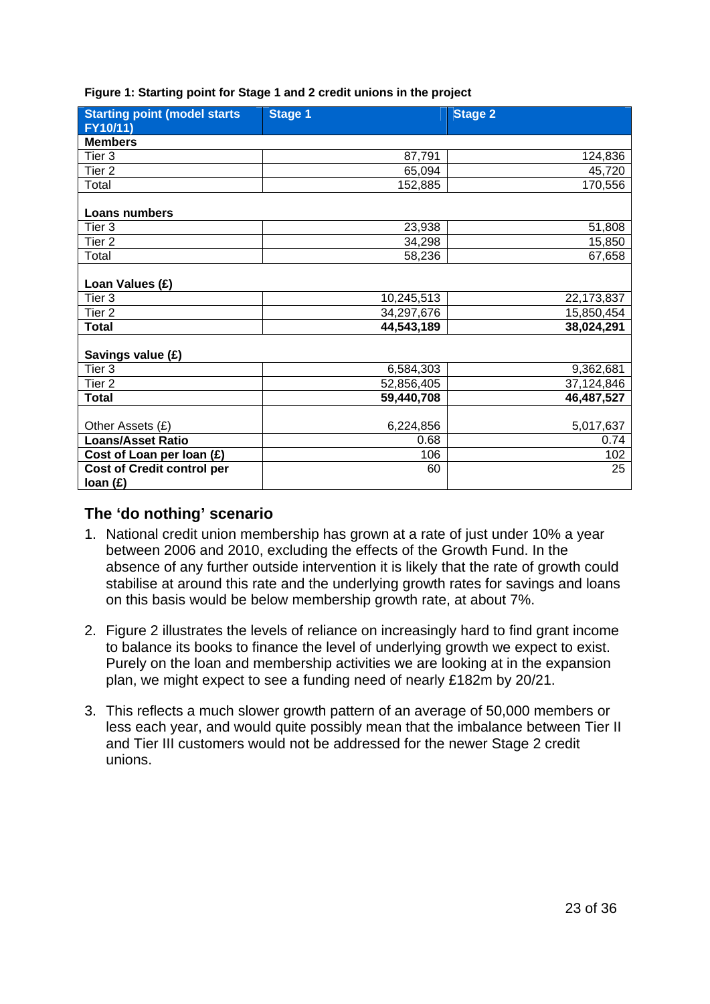| <b>Starting point (model starts</b><br>FY10/11) | <b>Stage 1</b> | <b>Stage 2</b> |
|-------------------------------------------------|----------------|----------------|
| <b>Members</b>                                  |                |                |
| Tier <sub>3</sub>                               | 87,791         | 124,836        |
| Tier <sub>2</sub>                               | 65,094         | 45,720         |
| Total                                           | 152,885        | 170,556        |
| Loans numbers                                   |                |                |
| Tier 3                                          | 23,938         | 51,808         |
| Tier <sub>2</sub>                               | 34,298         | 15,850         |
| Total                                           | 58,236         | 67,658         |
| Loan Values (£)                                 |                |                |
| Tier <sub>3</sub>                               | 10,245,513     | 22,173,837     |
| Tier <sub>2</sub>                               | 34,297,676     | 15,850,454     |
| <b>Total</b>                                    | 44,543,189     | 38,024,291     |
| Savings value (£)                               |                |                |
| Tier <sub>3</sub>                               | 6,584,303      | 9,362,681      |
| Tier <sub>2</sub>                               | 52,856,405     | 37,124,846     |
| <b>Total</b>                                    | 59,440,708     | 46,487,527     |
|                                                 |                |                |
| Other Assets (£)                                | 6,224,856      | 5,017,637      |
| <b>Loans/Asset Ratio</b>                        | 0.68           | 0.74           |
| Cost of Loan per loan (£)                       | 106            | 102            |
| <b>Cost of Credit control per</b>               | 60             | 25             |
| loan (£)                                        |                |                |

#### **Figure 1: Starting point for Stage 1 and 2 credit unions in the project**

## **The 'do nothing' scenario**

- 1. National credit union membership has grown at a rate of just under 10% a year between 2006 and 2010, excluding the effects of the Growth Fund. In the absence of any further outside intervention it is likely that the rate of growth could stabilise at around this rate and the underlying growth rates for savings and loans on this basis would be below membership growth rate, at about 7%.
- 2. Figure 2 illustrates the levels of reliance on increasingly hard to find grant income to balance its books to finance the level of underlying growth we expect to exist. Purely on the loan and membership activities we are looking at in the expansion plan, we might expect to see a funding need of nearly £182m by 20/21.
- 3. This reflects a much slower growth pattern of an average of 50,000 members or less each year, and would quite possibly mean that the imbalance between Tier II and Tier III customers would not be addressed for the newer Stage 2 credit unions.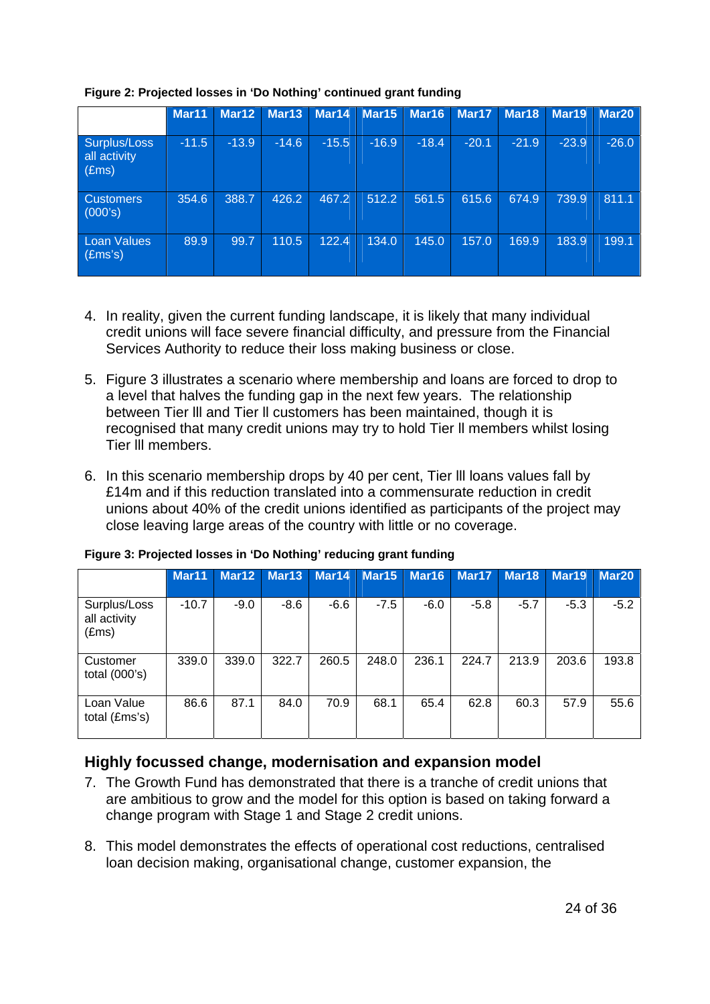|                                                | Mar11   | Mar12   | Mar13   | Mar <sub>14</sub> | Mar15   | Mar16   | Mar17   | Mar <sub>18</sub> | Mar <sub>19</sub> | Mar <sub>20</sub> |
|------------------------------------------------|---------|---------|---------|-------------------|---------|---------|---------|-------------------|-------------------|-------------------|
| Surplus/Loss<br>all activity<br>$(\text{Ems})$ | $-11.5$ | $-13.9$ | $-14.6$ | $-15.5$           | $-16.9$ | $-18.4$ | $-20.1$ | $-21.9$           | $-23.9$           | $-26.0$           |
| <b>Customers</b><br>(000's)                    | 354.6   | 388.7   | 426.2   | 467.2             | 512.2   | 561.5   | 615.6   | 674.9             | 739.9             | 811.1             |
| Loan Values<br>(£ms's)                         | 89.9    | 99.7    | 110.5   | 122.4             | 134.0   | 145.0   | 157.0   | 169.9             | 183.9             | 199.1             |

#### **Figure 2: Projected losses in 'Do Nothing' continued grant funding**

- 4. In reality, given the current funding landscape, it is likely that many individual credit unions will face severe financial difficulty, and pressure from the Financial Services Authority to reduce their loss making business or close.
- 5. Figure 3 illustrates a scenario where membership and loans are forced to drop to a level that halves the funding gap in the next few years. The relationship between Tier lll and Tier ll customers has been maintained, though it is recognised that many credit unions may try to hold Tier ll members whilst losing Tier lll members.
- 6. In this scenario membership drops by 40 per cent, Tier lll loans values fall by £14m and if this reduction translated into a commensurate reduction in credit unions about 40% of the credit unions identified as participants of the project may close leaving large areas of the country with little or no coverage.

|                                                | Mar <sub>11</sub> | Mar12  | Mar <sub>13</sub> | Mar14  | Mar15  | Mar16  | Mar17  | Mar18  | Mar <sub>19</sub> | Mar20  |
|------------------------------------------------|-------------------|--------|-------------------|--------|--------|--------|--------|--------|-------------------|--------|
| Surplus/Loss<br>all activity<br>$(\text{Ems})$ | $-10.7$           | $-9.0$ | $-8.6$            | $-6.6$ | $-7.5$ | $-6.0$ | $-5.8$ | $-5.7$ | $-5.3$            | $-5.2$ |
| Customer<br>total $(000's)$                    | 339.0             | 339.0  | 322.7             | 260.5  | 248.0  | 236.1  | 224.7  | 213.9  | 203.6             | 193.8  |
| Loan Value<br>total (£ms's)                    | 86.6              | 87.1   | 84.0              | 70.9   | 68.1   | 65.4   | 62.8   | 60.3   | 57.9              | 55.6   |

#### **Figure 3: Projected losses in 'Do Nothing' reducing grant funding**

## **Highly focussed change, modernisation and expansion model**

- 7. The Growth Fund has demonstrated that there is a tranche of credit unions that are ambitious to grow and the model for this option is based on taking forward a change program with Stage 1 and Stage 2 credit unions.
- 8. This model demonstrates the effects of operational cost reductions, centralised loan decision making, organisational change, customer expansion, the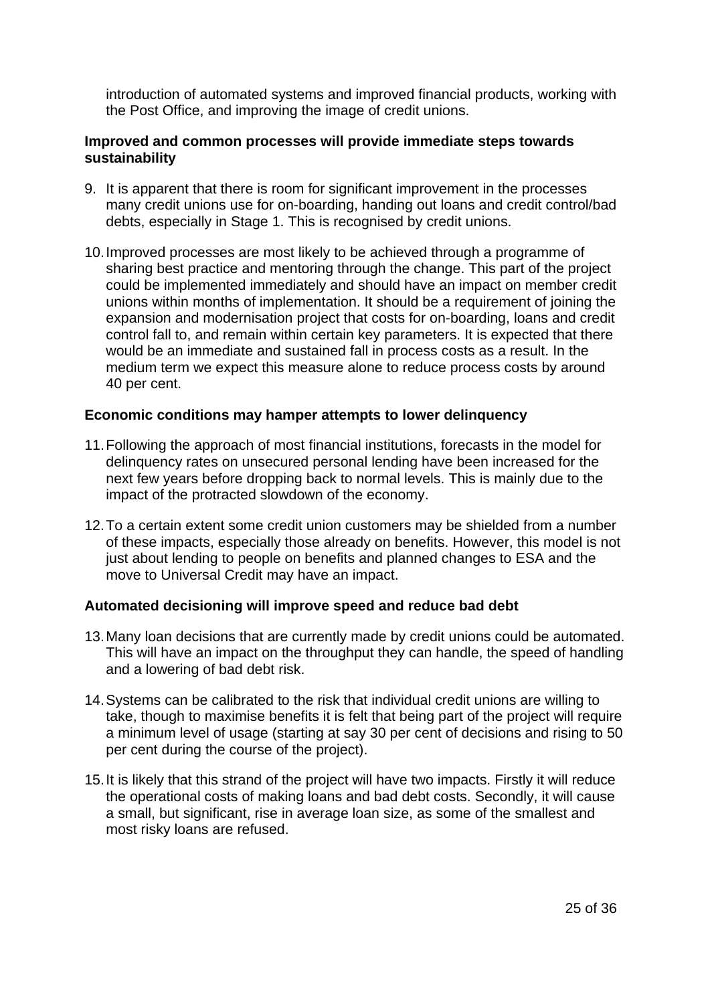introduction of automated systems and improved financial products, working with the Post Office, and improving the image of credit unions.

#### **Improved and common processes will provide immediate steps towards sustainability**

- 9. It is apparent that there is room for significant improvement in the processes many credit unions use for on-boarding, handing out loans and credit control/bad debts, especially in Stage 1. This is recognised by credit unions.
- 10. Improved processes are most likely to be achieved through a programme of sharing best practice and mentoring through the change. This part of the project could be implemented immediately and should have an impact on member credit unions within months of implementation. It should be a requirement of joining the expansion and modernisation project that costs for on-boarding, loans and credit control fall to, and remain within certain key parameters. It is expected that there would be an immediate and sustained fall in process costs as a result. In the medium term we expect this measure alone to reduce process costs by around 40 per cent.

#### **Economic conditions may hamper attempts to lower delinquency**

- 11. Following the approach of most financial institutions, forecasts in the model for delinquency rates on unsecured personal lending have been increased for the next few years before dropping back to normal levels. This is mainly due to the impact of the protracted slowdown of the economy.
- 12. To a certain extent some credit union customers may be shielded from a number of these impacts, especially those already on benefits. However, this model is not just about lending to people on benefits and planned changes to ESA and the move to Universal Credit may have an impact.

#### **Automated decisioning will improve speed and reduce bad debt**

- 13. Many loan decisions that are currently made by credit unions could be automated. This will have an impact on the throughput they can handle, the speed of handling and a lowering of bad debt risk.
- 14. Systems can be calibrated to the risk that individual credit unions are willing to take, though to maximise benefits it is felt that being part of the project will require a minimum level of usage (starting at say 30 per cent of decisions and rising to 50 per cent during the course of the project).
- 15. It is likely that this strand of the project will have two impacts. Firstly it will reduce the operational costs of making loans and bad debt costs. Secondly, it will cause a small, but significant, rise in average loan size, as some of the smallest and most risky loans are refused.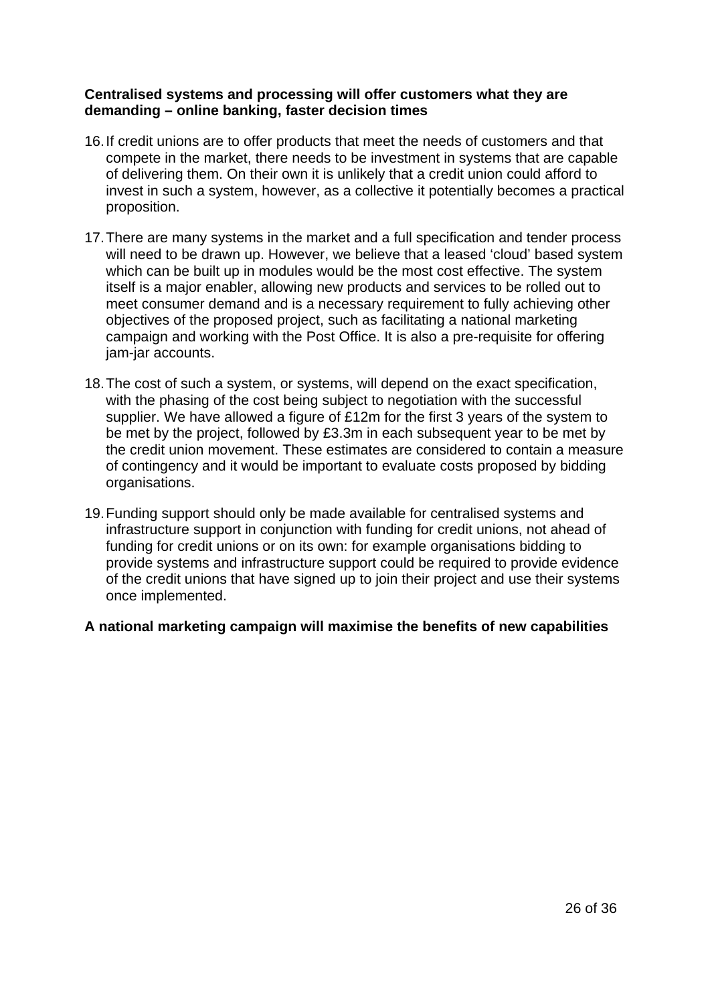#### **Centralised systems and processing will offer customers what they are demanding – online banking, faster decision times**

- 16. If credit unions are to offer products that meet the needs of customers and that compete in the market, there needs to be investment in systems that are capable of delivering them. On their own it is unlikely that a credit union could afford to invest in such a system, however, as a collective it potentially becomes a practical proposition.
- 17. There are many systems in the market and a full specification and tender process will need to be drawn up. However, we believe that a leased 'cloud' based system which can be built up in modules would be the most cost effective. The system itself is a major enabler, allowing new products and services to be rolled out to meet consumer demand and is a necessary requirement to fully achieving other objectives of the proposed project, such as facilitating a national marketing campaign and working with the Post Office. It is also a pre-requisite for offering jam-jar accounts.
- 18. The cost of such a system, or systems, will depend on the exact specification, with the phasing of the cost being subject to negotiation with the successful supplier. We have allowed a figure of £12m for the first 3 years of the system to be met by the project, followed by £3.3m in each subsequent year to be met by the credit union movement. These estimates are considered to contain a measure of contingency and it would be important to evaluate costs proposed by bidding organisations.
- 19. Funding support should only be made available for centralised systems and infrastructure support in conjunction with funding for credit unions, not ahead of funding for credit unions or on its own: for example organisations bidding to provide systems and infrastructure support could be required to provide evidence of the credit unions that have signed up to join their project and use their systems once implemented.

## **A national marketing campaign will maximise the benefits of new capabilities**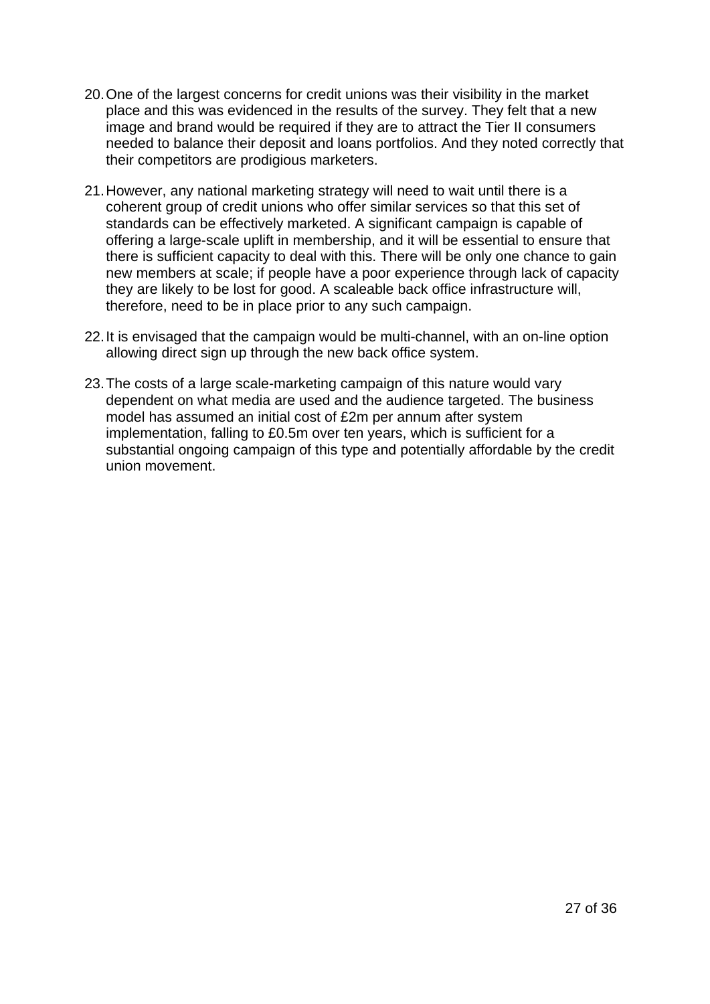- 20. One of the largest concerns for credit unions was their visibility in the market place and this was evidenced in the results of the survey. They felt that a new image and brand would be required if they are to attract the Tier II consumers needed to balance their deposit and loans portfolios. And they noted correctly that their competitors are prodigious marketers.
- 21. However, any national marketing strategy will need to wait until there is a coherent group of credit unions who offer similar services so that this set of standards can be effectively marketed. A significant campaign is capable of offering a large-scale uplift in membership, and it will be essential to ensure that there is sufficient capacity to deal with this. There will be only one chance to gain new members at scale; if people have a poor experience through lack of capacity they are likely to be lost for good. A scaleable back office infrastructure will, therefore, need to be in place prior to any such campaign.
- 22. It is envisaged that the campaign would be multi-channel, with an on-line option allowing direct sign up through the new back office system.
- 23. The costs of a large scale-marketing campaign of this nature would vary dependent on what media are used and the audience targeted. The business model has assumed an initial cost of £2m per annum after system implementation, falling to £0.5m over ten years, which is sufficient for a substantial ongoing campaign of this type and potentially affordable by the credit union movement.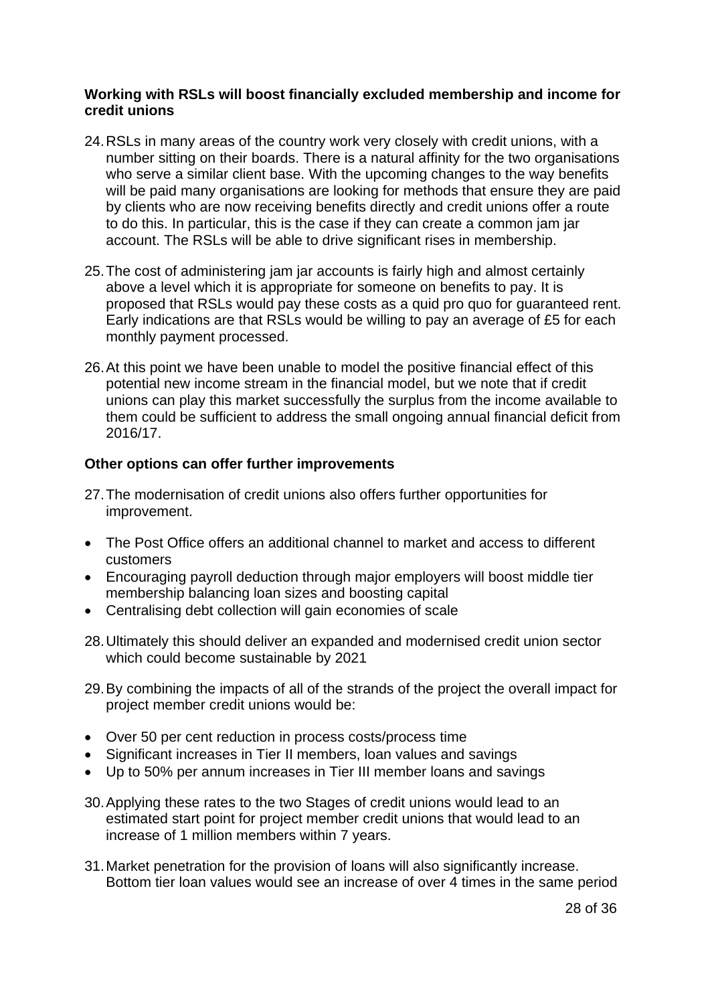#### **Working with RSLs will boost financially excluded membership and income for credit unions**

- 24. RSLs in many areas of the country work very closely with credit unions, with a number sitting on their boards. There is a natural affinity for the two organisations who serve a similar client base. With the upcoming changes to the way benefits will be paid many organisations are looking for methods that ensure they are paid by clients who are now receiving benefits directly and credit unions offer a route to do this. In particular, this is the case if they can create a common jam jar account. The RSLs will be able to drive significant rises in membership.
- 25. The cost of administering jam jar accounts is fairly high and almost certainly above a level which it is appropriate for someone on benefits to pay. It is proposed that RSLs would pay these costs as a quid pro quo for guaranteed rent. Early indications are that RSLs would be willing to pay an average of £5 for each monthly payment processed.
- 26. At this point we have been unable to model the positive financial effect of this potential new income stream in the financial model, but we note that if credit unions can play this market successfully the surplus from the income available to them could be sufficient to address the small ongoing annual financial deficit from 2016/17.

#### **Other options can offer further improvements**

- 27. The modernisation of credit unions also offers further opportunities for improvement.
- The Post Office offers an additional channel to market and access to different customers
- Encouraging payroll deduction through major employers will boost middle tier membership balancing loan sizes and boosting capital
- Centralising debt collection will gain economies of scale
- 28. Ultimately this should deliver an expanded and modernised credit union sector which could become sustainable by 2021
- 29. By combining the impacts of all of the strands of the project the overall impact for project member credit unions would be:
- Over 50 per cent reduction in process costs/process time
- Significant increases in Tier II members, loan values and savings
- Up to 50% per annum increases in Tier III member loans and savings
- 30. Applying these rates to the two Stages of credit unions would lead to an estimated start point for project member credit unions that would lead to an increase of 1 million members within 7 years.
- 31. Market penetration for the provision of loans will also significantly increase. Bottom tier loan values would see an increase of over 4 times in the same period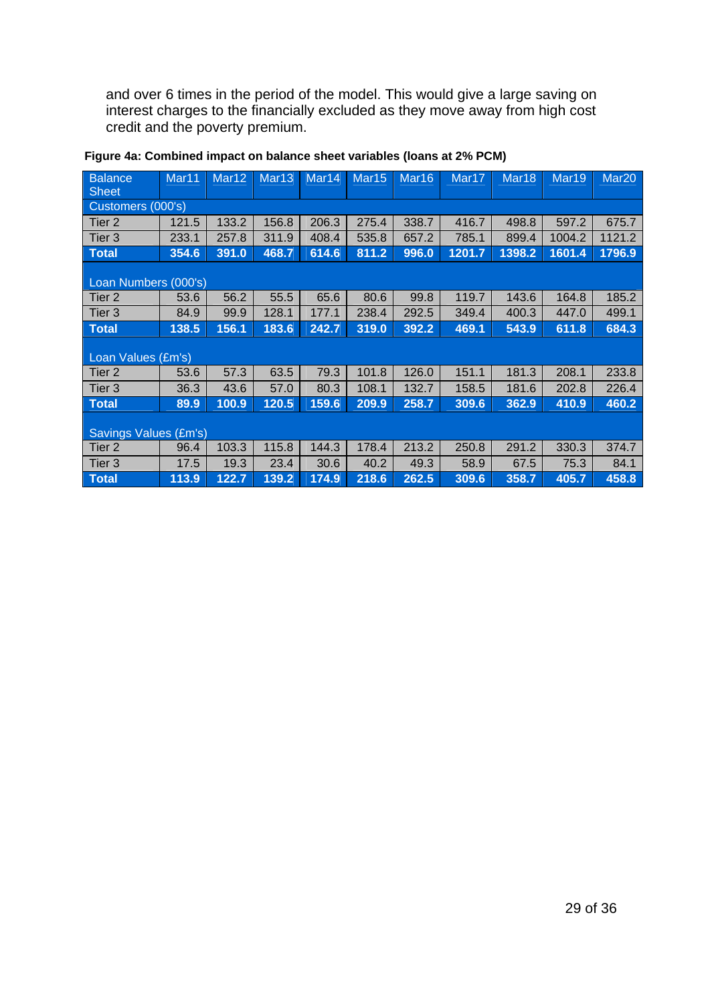and over 6 times in the period of the model. This would give a large saving on interest charges to the financially excluded as they move away from high cost credit and the poverty premium.

| <b>Balance</b><br><b>Sheet</b> | Mar11             | Mar <sub>12</sub> | Mar <sub>13</sub> | Mar <sub>14</sub> | Mar <sub>15</sub> | Mar <sub>16</sub> | Mar17  | Mar <sub>18</sub> | Mar19  | Mar <sub>20</sub> |  |  |  |  |
|--------------------------------|-------------------|-------------------|-------------------|-------------------|-------------------|-------------------|--------|-------------------|--------|-------------------|--|--|--|--|
|                                | Customers (000's) |                   |                   |                   |                   |                   |        |                   |        |                   |  |  |  |  |
| Tier 2                         | 121.5             | 133.2             | 156.8             | 206.3             | 275.4             | 338.7             | 416.7  | 498.8             | 597.2  | 675.7             |  |  |  |  |
| Tier 3                         | 233.1             | 257.8             | 311.9             | 408.4             | 535.8             | 657.2             | 785.1  | 899.4             | 1004.2 | 1121.2            |  |  |  |  |
| <b>Total</b>                   | 354.6             | 391.0             | 468.7             | 614.6             | 811.2             | 996.0             | 1201.7 | 1398.2            | 1601.4 | 1796.9            |  |  |  |  |
| Loan Numbers (000's)           |                   |                   |                   |                   |                   |                   |        |                   |        |                   |  |  |  |  |
| Tier 2                         | 53.6              | 56.2              | 55.5              | 65.6              | 80.6              | 99.8              | 119.7  | 143.6             | 164.8  | 185.2             |  |  |  |  |
| Tier 3                         | 84.9              | 99.9              | 128.1             | 177.1             | 238.4             | 292.5             | 349.4  | 400.3             | 447.0  | 499.1             |  |  |  |  |
| <b>Total</b>                   | 138.5             | 156.1             | 183.6             | 242.7             | 319.0             | 392.2             | 469.1  | 543.9             | 611.8  | 684.3             |  |  |  |  |
| Loan Values (£m's)             |                   |                   |                   |                   |                   |                   |        |                   |        |                   |  |  |  |  |
| Tier 2                         | 53.6              | 57.3              | 63.5              | 79.3              | 101.8             | 126.0             | 151.1  | 181.3             | 208.1  | 233.8             |  |  |  |  |
| Tier <sub>3</sub>              | 36.3              | 43.6              | 57.0              | 80.3              | 108.1             | 132.7             | 158.5  | 181.6             | 202.8  | 226.4             |  |  |  |  |
| <b>Total</b>                   | 89.9              | 100.9             | 120.5             | 159.6             | 209.9             | 258.7             | 309.6  | 362.9             | 410.9  | 460.2             |  |  |  |  |
| <b>Savings Values (£m's)</b>   |                   |                   |                   |                   |                   |                   |        |                   |        |                   |  |  |  |  |
| Tier <sub>2</sub>              | 96.4              | 103.3             | 115.8             | 144.3             | 178.4             | 213.2             | 250.8  | 291.2             | 330.3  | 374.7             |  |  |  |  |
| Tier 3                         | 17.5              | 19.3              | 23.4              | 30.6              | 40.2              | 49.3              | 58.9   | 67.5              | 75.3   | 84.1              |  |  |  |  |
| <b>Total</b>                   | 113.9             | 122.7             | 139.2             | 174.9             | 218.6             | 262.5             | 309.6  | 358.7             | 405.7  | 458.8             |  |  |  |  |

### **Figure 4a: Combined impact on balance sheet variables (loans at 2% PCM)**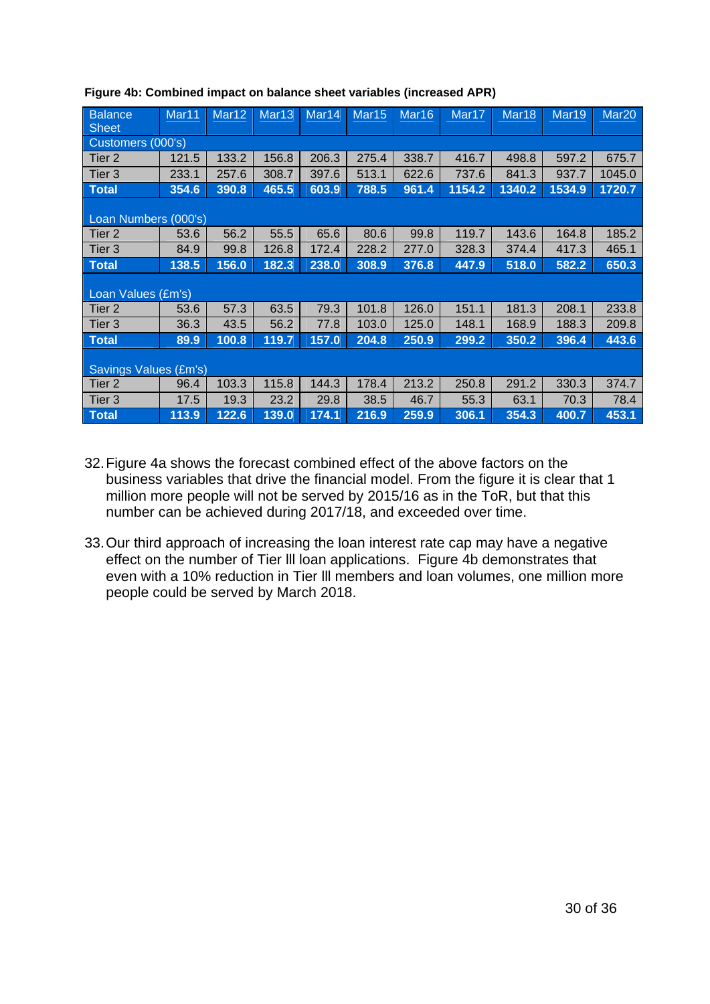| <b>Balance</b><br><b>Sheet</b> | Mar <sub>11</sub> | Mar <sub>12</sub> | Mar <sub>13</sub> | Mar <sub>14</sub> | Mar <sub>15</sub> | Mar <sub>16</sub> | Mar17  | Mar <sub>18</sub> | Mar <sub>19</sub> | Mar <sub>20</sub> |  |  |  |
|--------------------------------|-------------------|-------------------|-------------------|-------------------|-------------------|-------------------|--------|-------------------|-------------------|-------------------|--|--|--|
| Customers (000's)              |                   |                   |                   |                   |                   |                   |        |                   |                   |                   |  |  |  |
| Tier 2                         | 121.5             | 133.2             | 156.8             | 206.3             | 275.4             | 338.7             | 416.7  | 498.8             | 597.2             | 675.7             |  |  |  |
| Tier 3                         | 233.1             | 257.6             | 308.7             | 397.6             | 513.1             | 622.6             | 737.6  | 841.3             | 937.7             | 1045.0            |  |  |  |
| <b>Total</b>                   | 354.6             | 390.8             | 465.5             | 603.9             | 788.5             | 961.4             | 1154.2 | 1340.2            | 1534.9            | 1720.7            |  |  |  |
| Loan Numbers (000's)           |                   |                   |                   |                   |                   |                   |        |                   |                   |                   |  |  |  |
| Tier 2                         | 53.6              | 56.2              | 55.5              | 65.6              | 80.6              | 99.8              | 119.7  | 143.6             | 164.8             | 185.2             |  |  |  |
| Tier 3                         | 84.9              | 99.8              | 126.8             | 172.4             | 228.2             | 277.0             | 328.3  | 374.4             | 417.3             | 465.1             |  |  |  |
| <b>Total</b>                   | 138.5             | 156.0             | 182.3             | 238.0             | 308.9             | 376.8             | 447.9  | 518.0             | 582.2             | 650.3             |  |  |  |
| Loan Values (£m's)             |                   |                   |                   |                   |                   |                   |        |                   |                   |                   |  |  |  |
| Tier <sub>2</sub>              | 53.6              | 57.3              | 63.5              | 79.3              | 101.8             | 126.0             | 151.1  | 181.3             | 208.1             | 233.8             |  |  |  |
| Tier 3                         | 36.3              | 43.5              | 56.2              | 77.8              | 103.0             | 125.0             | 148.1  | 168.9             | 188.3             | 209.8             |  |  |  |
| <b>Total</b>                   | 89.9              | 100.8             | 119.7             | 157.0             | 204.8             | 250.9             | 299.2  | 350.2             | 396.4             | 443.6             |  |  |  |
| Savings Values (£m's)          |                   |                   |                   |                   |                   |                   |        |                   |                   |                   |  |  |  |
| Tier 2                         | 96.4              | 103.3             | 115.8             | 144.3             | 178.4             | 213.2             | 250.8  | 291.2             | 330.3             | 374.7             |  |  |  |
| Tier 3                         | 17.5              | 19.3              | 23.2              | 29.8              | 38.5              | 46.7              | 55.3   | 63.1              | 70.3              | 78.4              |  |  |  |
| <b>Total</b>                   | 113.9             | 122.6             | 139.0             | 174.1             | 216.9             | 259.9             | 306.1  | 354.3             | 400.7             | 453.1             |  |  |  |

#### **Figure 4b: Combined impact on balance sheet variables (increased APR)**

- 32. Figure 4a shows the forecast combined effect of the above factors on the business variables that drive the financial model. From the figure it is clear that 1 million more people will not be served by 2015/16 as in the ToR, but that this number can be achieved during 2017/18, and exceeded over time.
- 33. Our third approach of increasing the loan interest rate cap may have a negative effect on the number of Tier lll loan applications. Figure 4b demonstrates that even with a 10% reduction in Tier lll members and loan volumes, one million more people could be served by March 2018.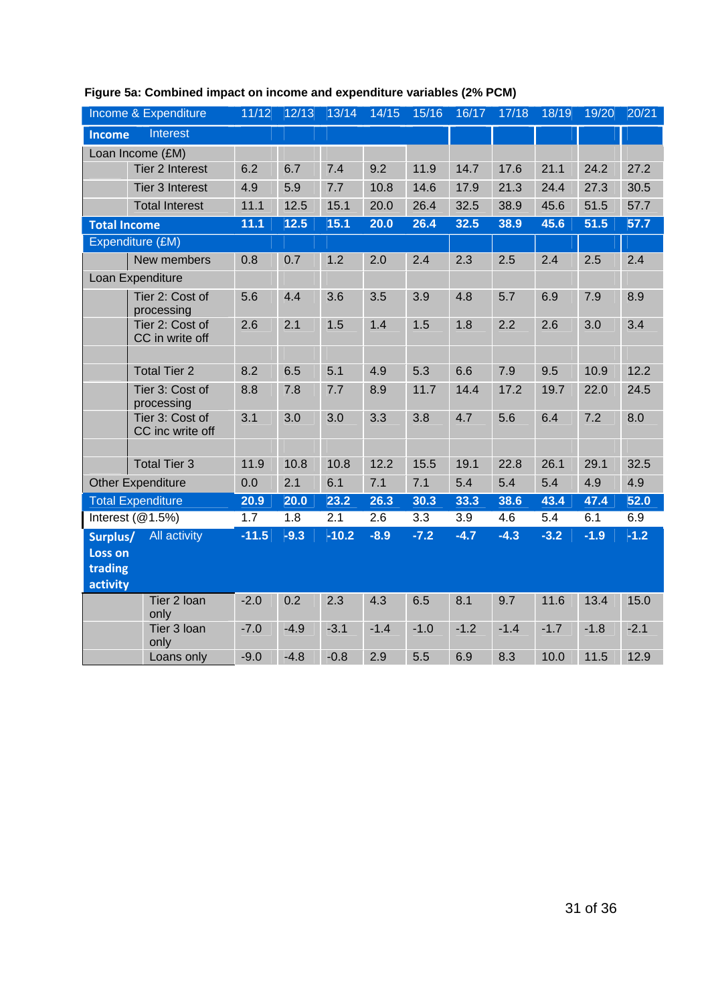|                     | Income & Expenditure                | 11/12   | 12/13  | 13/14   | 14/15  | 15/16  | 16/17  | 17/18  | 18/19  | 19/20  | 20/21  |
|---------------------|-------------------------------------|---------|--------|---------|--------|--------|--------|--------|--------|--------|--------|
| Income              | Interest                            |         |        |         |        |        |        |        |        |        |        |
|                     | Loan Income (£M)                    |         |        |         |        |        |        |        |        |        |        |
|                     | Tier 2 Interest                     | 6.2     | 6.7    | 7.4     | 9.2    | 11.9   | 14.7   | 17.6   | 21.1   | 24.2   | 27.2   |
|                     | Tier 3 Interest                     | 4.9     | 5.9    | 7.7     | 10.8   | 14.6   | 17.9   | 21.3   | 24.4   | 27.3   | 30.5   |
|                     | <b>Total Interest</b>               | 11.1    | 12.5   | 15.1    | 20.0   | 26.4   | 32.5   | 38.9   | 45.6   | 51.5   | 57.7   |
| <b>Total Income</b> |                                     | 11.1    | $12.5$ | 15.1    | 20.0   | 26.4   | 32.5   | 38.9   | 45.6   | 51.5   | 57.7   |
|                     | Expenditure (£M)                    |         |        |         |        |        |        |        |        |        |        |
|                     | New members                         | 0.8     | 0.7    | 1.2     | 2.0    | 2.4    | 2.3    | 2.5    | 2.4    | 2.5    | 2.4    |
|                     | Loan Expenditure                    |         |        |         |        |        |        |        |        |        |        |
|                     | Tier 2: Cost of<br>processing       | 5.6     | 4.4    | 3.6     | 3.5    | 3.9    | 4.8    | 5.7    | 6.9    | 7.9    | 8.9    |
|                     | Tier 2: Cost of<br>CC in write off  | 2.6     | 2.1    | 1.5     | 1.4    | 1.5    | 1.8    | 2.2    | 2.6    | 3.0    | 3.4    |
|                     | <b>Total Tier 2</b>                 | 8.2     | 6.5    | 5.1     | 4.9    | 5.3    | 6.6    | 7.9    | 9.5    | 10.9   | 12.2   |
|                     | Tier 3: Cost of<br>processing       | 8.8     | 7.8    | 7.7     | 8.9    | 11.7   | 14.4   | 17.2   | 19.7   | 22.0   | 24.5   |
|                     | Tier 3: Cost of<br>CC inc write off | 3.1     | 3.0    | 3.0     | 3.3    | 3.8    | 4.7    | 5.6    | 6.4    | 7.2    | 8.0    |
|                     |                                     |         |        |         |        |        |        |        |        |        |        |
|                     | <b>Total Tier 3</b>                 | 11.9    | 10.8   | 10.8    | 12.2   | 15.5   | 19.1   | 22.8   | 26.1   | 29.1   | 32.5   |
|                     | <b>Other Expenditure</b>            | 0.0     | 2.1    | 6.1     | 7.1    | 7.1    | 5.4    | 5.4    | 5.4    | 4.9    | 4.9    |
|                     | <b>Total Expenditure</b>            | 20.9    | 20.0   | 23.2    | 26.3   | 30.3   | 33.3   | 38.6   | 43.4   | 47.4   | 52.0   |
|                     | Interest $(@1.5%)$                  | 1.7     | 1.8    | 2.1     | 2.6    | 3.3    | 3.9    | 4.6    | 5.4    | 6.1    | 6.9    |
| Surplus/<br>Loss on | <b>All activity</b>                 | $-11.5$ | $-9.3$ | $-10.2$ | $-8.9$ | $-7.2$ | $-4.7$ | $-4.3$ | $-3.2$ | $-1.9$ | $-1.2$ |
| trading             |                                     |         |        |         |        |        |        |        |        |        |        |
| activity            | Tier 2 loan                         | $-2.0$  | 0.2    | 2.3     | 4.3    | 6.5    | 8.1    | 9.7    | 11.6   | 13.4   | 15.0   |
|                     | only                                |         |        |         |        |        |        |        |        |        |        |
|                     | Tier 3 loan<br>only                 | $-7.0$  | $-4.9$ | $-3.1$  | $-1.4$ | $-1.0$ | $-1.2$ | $-1.4$ | $-1.7$ | $-1.8$ | $-2.1$ |
|                     | Loans only                          | $-9.0$  | $-4.8$ | $-0.8$  | 2.9    | 5.5    | 6.9    | 8.3    | 10.0   | 11.5   | 12.9   |

## **Figure 5a: Combined impact on income and expenditure variables (2% PCM)**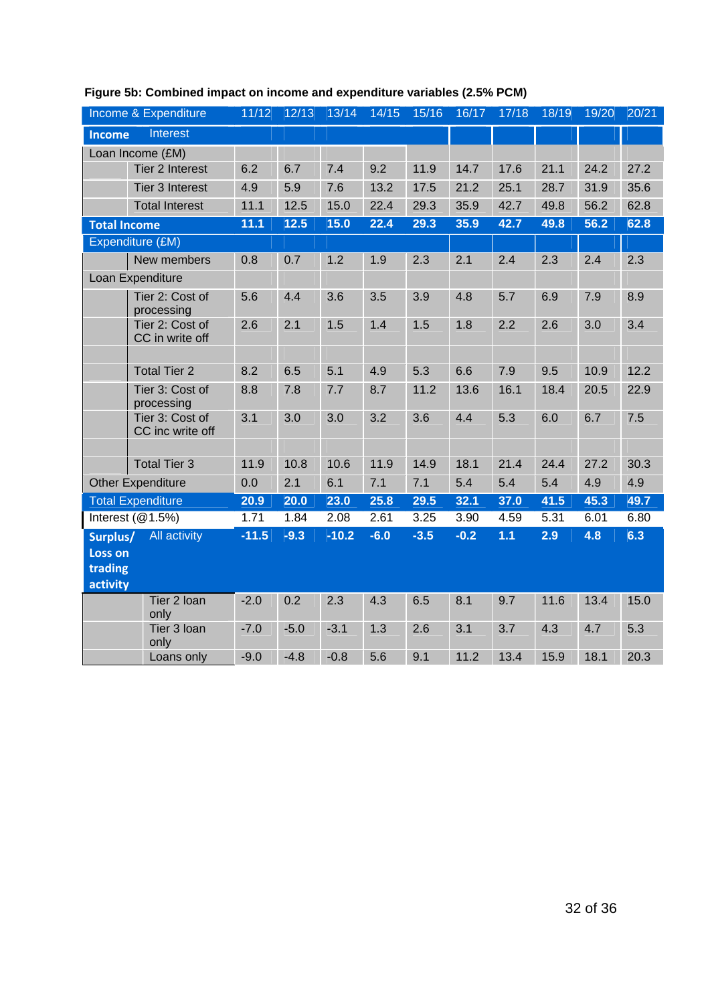|                                            | Income & Expenditure                | 11/12   | 12/13  | 13/14   | 14/15  | 15/16  | 16/17  | 17/18 | 18/19 | 19/20 | 20/21 |
|--------------------------------------------|-------------------------------------|---------|--------|---------|--------|--------|--------|-------|-------|-------|-------|
| Income                                     | Interest                            |         |        |         |        |        |        |       |       |       |       |
|                                            | Loan Income (£M)                    |         |        |         |        |        |        |       |       |       |       |
|                                            | Tier 2 Interest                     | 6.2     | 6.7    | 7.4     | 9.2    | 11.9   | 14.7   | 17.6  | 21.1  | 24.2  | 27.2  |
|                                            | Tier 3 Interest                     | 4.9     | 5.9    | 7.6     | 13.2   | 17.5   | 21.2   | 25.1  | 28.7  | 31.9  | 35.6  |
|                                            | <b>Total Interest</b>               | 11.1    | 12.5   | 15.0    | 22.4   | 29.3   | 35.9   | 42.7  | 49.8  | 56.2  | 62.8  |
| <b>Total Income</b>                        |                                     | 11.1    | $12.5$ | 15.0    | 22.4   | 29.3   | 35.9   | 42.7  | 49.8  | 56.2  | 62.8  |
|                                            | Expenditure (£M)                    |         |        |         |        |        |        |       |       |       |       |
|                                            | New members                         | 0.8     | 0.7    | 1.2     | 1.9    | 2.3    | 2.1    | 2.4   | 2.3   | 2.4   | 2.3   |
|                                            | Loan Expenditure                    |         |        |         |        |        |        |       |       |       |       |
|                                            | Tier 2: Cost of<br>processing       | 5.6     | 4.4    | 3.6     | 3.5    | 3.9    | 4.8    | 5.7   | 6.9   | 7.9   | 8.9   |
|                                            | Tier 2: Cost of<br>CC in write off  | 2.6     | 2.1    | 1.5     | 1.4    | 1.5    | 1.8    | 2.2   | 2.6   | 3.0   | 3.4   |
|                                            | <b>Total Tier 2</b>                 | 8.2     | 6.5    | 5.1     | 4.9    | 5.3    | 6.6    | 7.9   | 9.5   | 10.9  | 12.2  |
|                                            | Tier 3: Cost of<br>processing       | 8.8     | 7.8    | 7.7     | 8.7    | 11.2   | 13.6   | 16.1  | 18.4  | 20.5  | 22.9  |
|                                            | Tier 3: Cost of<br>CC inc write off | 3.1     | 3.0    | 3.0     | 3.2    | 3.6    | 4.4    | 5.3   | 6.0   | 6.7   | 7.5   |
|                                            | <b>Total Tier 3</b>                 | 11.9    | 10.8   | 10.6    | 11.9   | 14.9   | 18.1   | 21.4  | 24.4  | 27.2  | 30.3  |
|                                            | <b>Other Expenditure</b>            | 0.0     | 2.1    | 6.1     | 7.1    | 7.1    | 5.4    | 5.4   | 5.4   | 4.9   | 4.9   |
|                                            | <b>Total Expenditure</b>            | 20.9    | 20.0   | 23.0    | 25.8   | 29.5   | 32.1   | 37.0  | 41.5  | 45.3  | 49.7  |
|                                            | Interest $(@1.5%)$                  | 1.71    | 1.84   | 2.08    | 2.61   | 3.25   | 3.90   | 4.59  | 5.31  | 6.01  | 6.80  |
| Surplus/<br>Loss on<br>trading<br>activity | <b>All activity</b>                 | $-11.5$ | $-9.3$ | $-10.2$ | $-6.0$ | $-3.5$ | $-0.2$ | 1.1   | 2.9   | 4.8   | 6.3   |
|                                            | Tier 2 loan<br>only                 | $-2.0$  | 0.2    | 2.3     | 4.3    | 6.5    | 8.1    | 9.7   | 11.6  | 13.4  | 15.0  |
|                                            | Tier 3 loan<br>only                 | $-7.0$  | $-5.0$ | $-3.1$  | 1.3    | 2.6    | 3.1    | 3.7   | 4.3   | 4.7   | 5.3   |
|                                            | Loans only                          | $-9.0$  | $-4.8$ | $-0.8$  | 5.6    | 9.1    | 11.2   | 13.4  | 15.9  | 18.1  | 20.3  |

## **Figure 5b: Combined impact on income and expenditure variables (2.5% PCM)**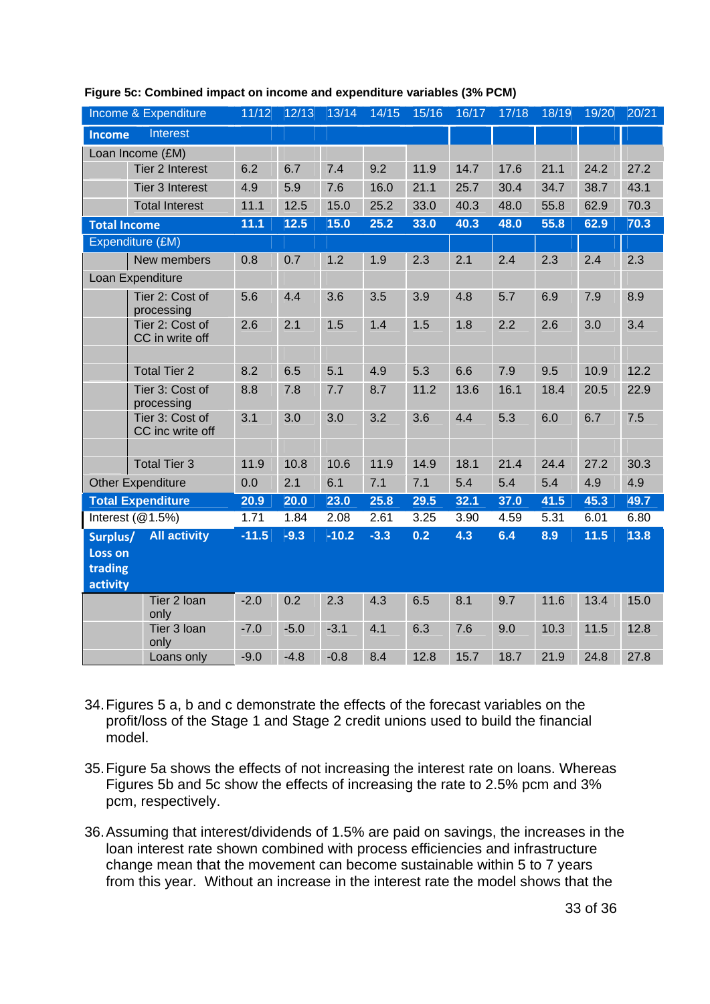| Income & Expenditure                              |                                     | 11/12   | 12/13  | 13/14   | 14/15  | 15/16 | 16/17 | 17/18 | 18/19 | 19/20 | 20/21 |
|---------------------------------------------------|-------------------------------------|---------|--------|---------|--------|-------|-------|-------|-------|-------|-------|
| Income                                            | Interest                            |         |        |         |        |       |       |       |       |       |       |
|                                                   | Loan Income (£M)                    |         |        |         |        |       |       |       |       |       |       |
|                                                   | <b>Tier 2 Interest</b>              | 6.2     | 6.7    | 7.4     | 9.2    | 11.9  | 14.7  | 17.6  | 21.1  | 24.2  | 27.2  |
|                                                   | <b>Tier 3 Interest</b>              | 4.9     | 5.9    | 7.6     | 16.0   | 21.1  | 25.7  | 30.4  | 34.7  | 38.7  | 43.1  |
|                                                   | <b>Total Interest</b>               | 11.1    | 12.5   | 15.0    | 25.2   | 33.0  | 40.3  | 48.0  | 55.8  | 62.9  | 70.3  |
| <b>Total Income</b>                               |                                     | 11.1    | $12.5$ | 15.0    | 25.2   | 33.0  | 40.3  | 48.0  | 55.8  | 62.9  | 70.3  |
| Expenditure (£M)                                  |                                     |         |        |         |        |       |       |       |       |       |       |
|                                                   | New members                         | 0.8     | 0.7    | 1.2     | 1.9    | 2.3   | 2.1   | 2.4   | 2.3   | 2.4   | 2.3   |
| Loan Expenditure                                  |                                     |         |        |         |        |       |       |       |       |       |       |
|                                                   | Tier 2: Cost of<br>processing       | 5.6     | 4.4    | 3.6     | 3.5    | 3.9   | 4.8   | 5.7   | 6.9   | 7.9   | 8.9   |
|                                                   | Tier 2: Cost of<br>CC in write off  | 2.6     | 2.1    | 1.5     | 1.4    | 1.5   | 1.8   | 2.2   | 2.6   | 3.0   | 3.4   |
|                                                   | <b>Total Tier 2</b>                 | 8.2     | 6.5    | 5.1     | 4.9    | 5.3   | 6.6   | 7.9   | 9.5   | 10.9  | 12.2  |
|                                                   | Tier 3: Cost of<br>processing       | 8.8     | 7.8    | 7.7     | 8.7    | 11.2  | 13.6  | 16.1  | 18.4  | 20.5  | 22.9  |
|                                                   | Tier 3: Cost of<br>CC inc write off | 3.1     | 3.0    | 3.0     | 3.2    | 3.6   | 4.4   | 5.3   | 6.0   | 6.7   | 7.5   |
|                                                   | <b>Total Tier 3</b>                 | 11.9    | 10.8   | 10.6    | 11.9   | 14.9  | 18.1  | 21.4  | 24.4  | 27.2  | 30.3  |
|                                                   | <b>Other Expenditure</b>            | 0.0     | 2.1    | 6.1     | 7.1    | 7.1   | 5.4   | 5.4   | 5.4   | 4.9   | 4.9   |
| <b>Total Expenditure</b>                          |                                     | 20.9    | 20.0   | 23.0    | 25.8   | 29.5  | 32.1  | 37.0  | 41.5  | 45.3  | 49.7  |
| Interest $(@1.5%)$                                |                                     | 1.71    | 1.84   | 2.08    | 2.61   | 3.25  | 3.90  | 4.59  | 5.31  | 6.01  | 6.80  |
| Surplus/<br><b>Loss on</b><br>trading<br>activity | <b>All activity</b>                 | $-11.5$ | $-9.3$ | $-10.2$ | $-3.3$ | 0.2   | 4.3   | 6.4   | 8.9   | 11.5  | 13.8  |
|                                                   | Tier 2 loan<br>only                 | $-2.0$  | 0.2    | 2.3     | 4.3    | 6.5   | 8.1   | 9.7   | 11.6  | 13.4  | 15.0  |
|                                                   | Tier 3 loan<br>only                 | $-7.0$  | $-5.0$ | $-3.1$  | 4.1    | 6.3   | 7.6   | 9.0   | 10.3  | 11.5  | 12.8  |
|                                                   | Loans only                          | $-9.0$  | $-4.8$ | $-0.8$  | 8.4    | 12.8  | 15.7  | 18.7  | 21.9  | 24.8  | 27.8  |

#### **Figure 5c: Combined impact on income and expenditure variables (3% PCM)**

- 34. Figures 5 a, b and c demonstrate the effects of the forecast variables on the profit/loss of the Stage 1 and Stage 2 credit unions used to build the financial model.
- 35. Figure 5a shows the effects of not increasing the interest rate on loans. Whereas Figures 5b and 5c show the effects of increasing the rate to 2.5% pcm and 3% pcm, respectively.
- 36. Assuming that interest/dividends of 1.5% are paid on savings, the increases in the loan interest rate shown combined with process efficiencies and infrastructure change mean that the movement can become sustainable within 5 to 7 years from this year. Without an increase in the interest rate the model shows that the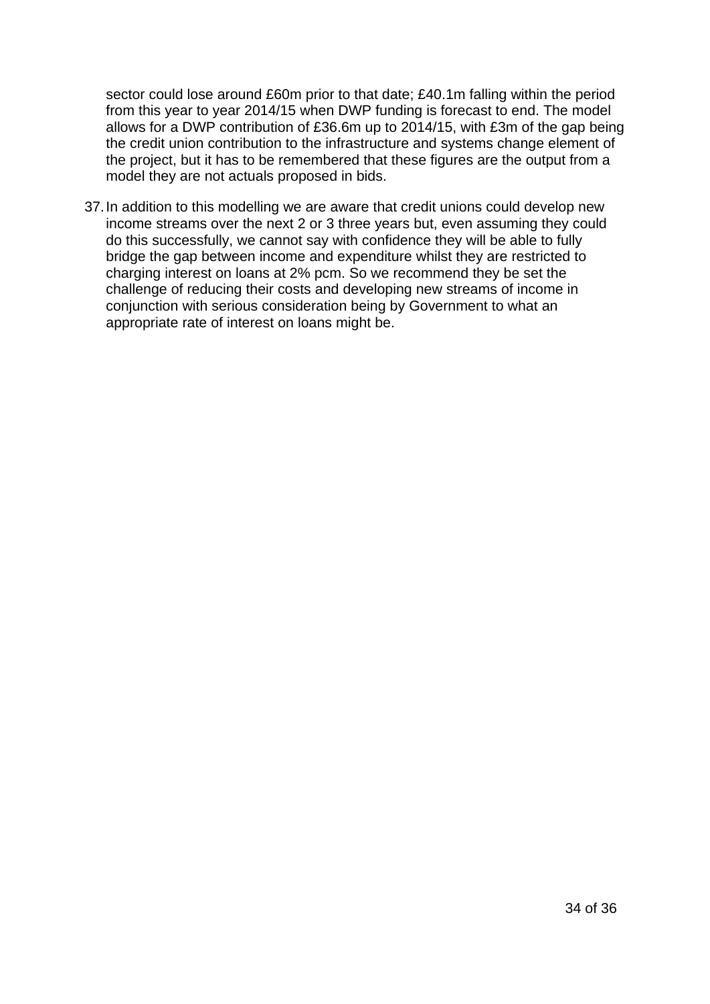<span id="page-33-0"></span>sector could lose around £60m prior to that date; £40.1m falling within the period from this year to year 2014/15 when DWP funding is forecast to end. The model allows for a DWP contribution of £36.6m up to 2014/15, with £3m of the gap being the credit union contribution to the infrastructure and systems change element of the project, but it has to be remembered that these figures are the output from a model they are not actuals proposed in bids.

37. In addition to this modelling we are aware that credit unions could develop new income streams over the next 2 or 3 three years but, even assuming they could do this successfully, we cannot say with confidence they will be able to fully bridge the gap between income and expenditure whilst they are restricted to charging interest on loans at 2% pcm. So we recommend they be set the challenge of reducing their costs and developing new streams of income in conjunction with serious consideration being by Government to what an appropriate rate of interest on loans might be.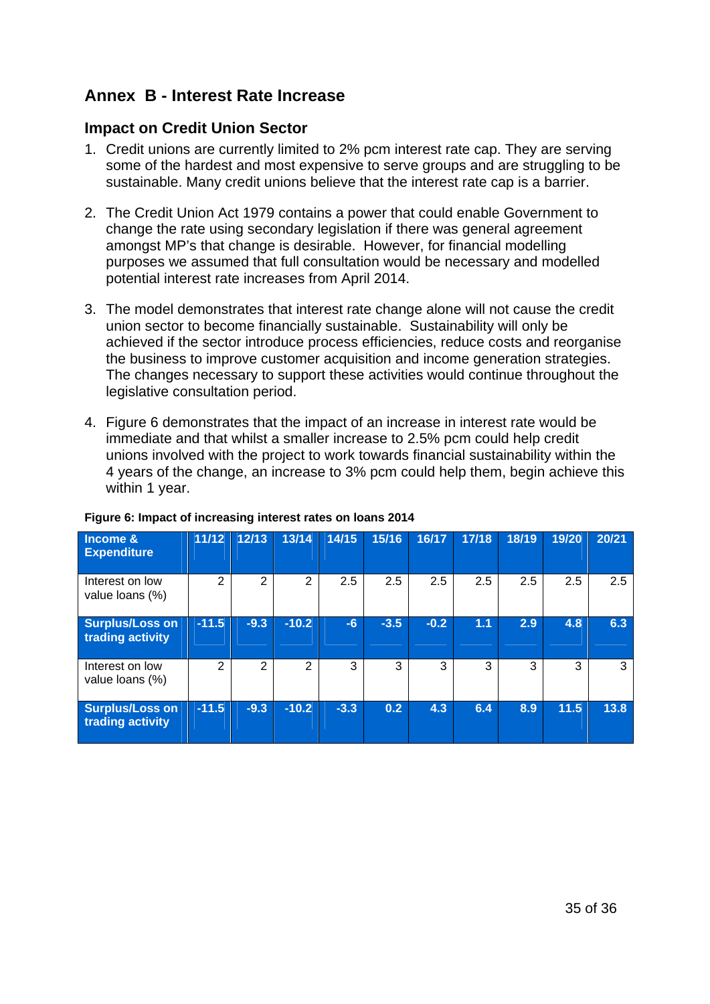# **Annex B - Interest Rate Increase**

### **Impact on Credit Union Sector**

- 1. Credit unions are currently limited to 2% pcm interest rate cap. They are serving some of the hardest and most expensive to serve groups and are struggling to be sustainable. Many credit unions believe that the interest rate cap is a barrier.
- 2. The Credit Union Act 1979 contains a power that could enable Government to change the rate using secondary legislation if there was general agreement amongst MP's that change is desirable. However, for financial modelling purposes we assumed that full consultation would be necessary and modelled potential interest rate increases from April 2014.
- 3. The model demonstrates that interest rate change alone will not cause the credit union sector to become financially sustainable. Sustainability will only be achieved if the sector introduce process efficiencies, reduce costs and reorganise the business to improve customer acquisition and income generation strategies. The changes necessary to support these activities would continue throughout the legislative consultation period.
- 4. Figure 6 demonstrates that the impact of an increase in interest rate would be immediate and that whilst a smaller increase to 2.5% pcm could help credit unions involved with the project to work towards financial sustainability within the 4 years of the change, an increase to 3% pcm could help them, begin achieve this within 1 year.

| <b>Income &amp;</b><br><b>Expenditure</b>  | 11/12         | 12/13  | 13/14          | 14/15  | 15/16  | 16/17  | 17/18 | 18/19 | 19/20 | 20/21 |
|--------------------------------------------|---------------|--------|----------------|--------|--------|--------|-------|-------|-------|-------|
| Interest on low<br>value loans (%)         | 2             | 2      | 2              | 2.5    | 2.5    | 2.5    | 2.5   | 2.5   | 2.5   | 2.5   |
| <b>Surplus/Loss on</b><br>trading activity | $-11.5$       | $-9.3$ | $-10.2$        | $-6$   | $-3.5$ | $-0.2$ | 1.1   | 2.9   | 4.8   | 6.3   |
| Interest on low<br>value loans (%)         | $\mathcal{P}$ | 2      | $\overline{2}$ | 3      | 3      | 3      | 3     | 3     | 3     | 3     |
| <b>Surplus/Loss on</b><br>trading activity | $-11.5$       | $-9.3$ | $-10.2$        | $-3.3$ | 0.2    | 4.3    | 6.4   | 8.9   | 11.5  | 13.8  |

#### **Figure 6: Impact of increasing interest rates on loans 2014**